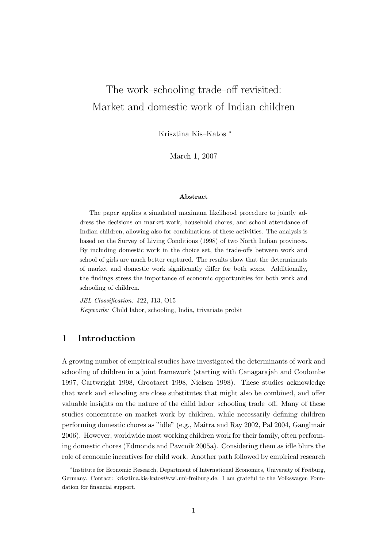# The work–schooling trade–off revisited: Market and domestic work of Indian children

Krisztina Kis–Katos <sup>∗</sup>

March 1, 2007

#### Abstract

The paper applies a simulated maximum likelihood procedure to jointly address the decisions on market work, household chores, and school attendance of Indian children, allowing also for combinations of these activities. The analysis is based on the Survey of Living Conditions (1998) of two North Indian provinces. By including domestic work in the choice set, the trade-offs between work and school of girls are much better captured. The results show that the determinants of market and domestic work significantly differ for both sexes. Additionally, the findings stress the importance of economic opportunities for both work and schooling of children.

JEL Classification: J22, J13, O15 Keywords: Child labor, schooling, India, trivariate probit

# 1 Introduction

A growing number of empirical studies have investigated the determinants of work and schooling of children in a joint framework (starting with Canagarajah and Coulombe 1997, Cartwright 1998, Grootaert 1998, Nielsen 1998). These studies acknowledge that work and schooling are close substitutes that might also be combined, and offer valuable insights on the nature of the child labor–schooling trade–off. Many of these studies concentrate on market work by children, while necessarily defining children performing domestic chores as "idle" (e.g., Maitra and Ray 2002, Pal 2004, Ganglmair 2006). However, worldwide most working children work for their family, often performing domestic chores (Edmonds and Pavcnik 2005a). Considering them as idle blurs the role of economic incentives for child work. Another path followed by empirical research

<sup>∗</sup> Institute for Economic Research, Department of International Economics, University of Freiburg, Germany. Contact: krisztina.kis-katos@vwl.uni-freiburg.de. I am grateful to the Volkswagen Foundation for financial support.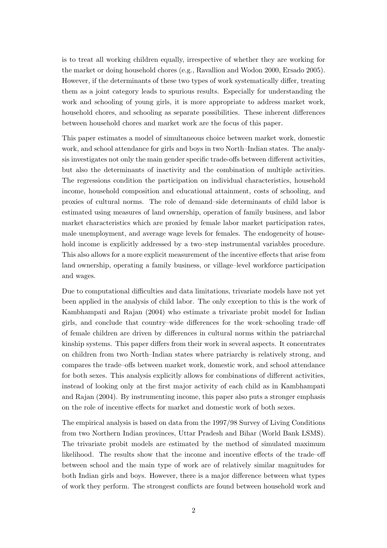is to treat all working children equally, irrespective of whether they are working for the market or doing household chores (e.g., Ravallion and Wodon 2000, Ersado 2005). However, if the determinants of these two types of work systematically differ, treating them as a joint category leads to spurious results. Especially for understanding the work and schooling of young girls, it is more appropriate to address market work, household chores, and schooling as separate possibilities. These inherent differences between household chores and market work are the focus of this paper.

This paper estimates a model of simultaneous choice between market work, domestic work, and school attendance for girls and boys in two North–Indian states. The analysis investigates not only the main gender specific trade-offs between different activities, but also the determinants of inactivity and the combination of multiple activities. The regressions condition the participation on individual characteristics, household income, household composition and educational attainment, costs of schooling, and proxies of cultural norms. The role of demand–side determinants of child labor is estimated using measures of land ownership, operation of family business, and labor market characteristics which are proxied by female labor market participation rates, male unemployment, and average wage levels for females. The endogeneity of household income is explicitly addressed by a two–step instrumental variables procedure. This also allows for a more explicit measurement of the incentive effects that arise from land ownership, operating a family business, or village–level workforce participation and wages.

Due to computational difficulties and data limitations, trivariate models have not yet been applied in the analysis of child labor. The only exception to this is the work of Kambhampati and Rajan (2004) who estimate a trivariate probit model for Indian girls, and conclude that country–wide differences for the work–schooling trade–off of female children are driven by differences in cultural norms within the patriarchal kinship systems. This paper differs from their work in several aspects. It concentrates on children from two North–Indian states where patriarchy is relatively strong, and compares the trade–offs between market work, domestic work, and school attendance for both sexes. This analysis explicitly allows for combinations of different activities, instead of looking only at the first major activity of each child as in Kambhampati and Rajan (2004). By instrumenting income, this paper also puts a stronger emphasis on the role of incentive effects for market and domestic work of both sexes.

The empirical analysis is based on data from the 1997/98 Survey of Living Conditions from two Northern Indian provinces, Uttar Pradesh and Bihar (World Bank LSMS). The trivariate probit models are estimated by the method of simulated maximum likelihood. The results show that the income and incentive effects of the trade–off between school and the main type of work are of relatively similar magnitudes for both Indian girls and boys. However, there is a major difference between what types of work they perform. The strongest conflicts are found between household work and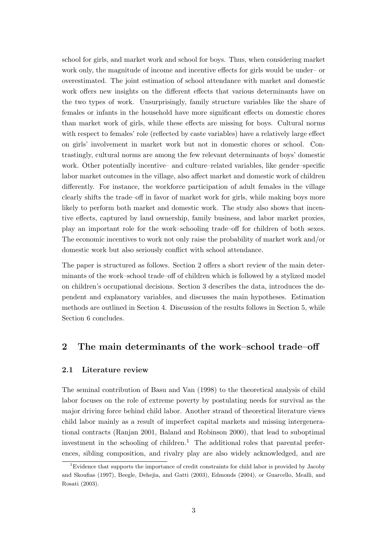school for girls, and market work and school for boys. Thus, when considering market work only, the magnitude of income and incentive effects for girls would be under– or overestimated. The joint estimation of school attendance with market and domestic work offers new insights on the different effects that various determinants have on the two types of work. Unsurprisingly, family structure variables like the share of females or infants in the household have more significant effects on domestic chores than market work of girls, while these effects are missing for boys. Cultural norms with respect to females' role (reflected by caste variables) have a relatively large effect on girls' involvement in market work but not in domestic chores or school. Contrastingly, cultural norms are among the few relevant determinants of boys' domestic work. Other potentially incentive– and culture–related variables, like gender–specific labor market outcomes in the village, also affect market and domestic work of children differently. For instance, the workforce participation of adult females in the village clearly shifts the trade–off in favor of market work for girls, while making boys more likely to perform both market and domestic work. The study also shows that incentive effects, captured by land ownership, family business, and labor market proxies, play an important role for the work–schooling trade–off for children of both sexes. The economic incentives to work not only raise the probability of market work and/or domestic work but also seriously conflict with school attendance.

The paper is structured as follows. Section 2 offers a short review of the main determinants of the work–school trade–off of children which is followed by a stylized model on children's occupational decisions. Section 3 describes the data, introduces the dependent and explanatory variables, and discusses the main hypotheses. Estimation methods are outlined in Section 4. Discussion of the results follows in Section 5, while Section 6 concludes.

# 2 The main determinants of the work–school trade–off

#### 2.1 Literature review

The seminal contribution of Basu and Van (1998) to the theoretical analysis of child labor focuses on the role of extreme poverty by postulating needs for survival as the major driving force behind child labor. Another strand of theoretical literature views child labor mainly as a result of imperfect capital markets and missing intergenerational contracts (Ranjan 2001, Baland and Robinson 2000), that lead to suboptimal investment in the schooling of children.<sup>1</sup> The additional roles that parental preferences, sibling composition, and rivalry play are also widely acknowledged, and are

<sup>&</sup>lt;sup>1</sup>Evidence that supports the importance of credit constraints for child labor is provided by Jacoby and Skoufias (1997), Beegle, Dehejia, and Gatti (2003), Edmonds (2004), or Guarcello, Mealli, and Rosati (2003).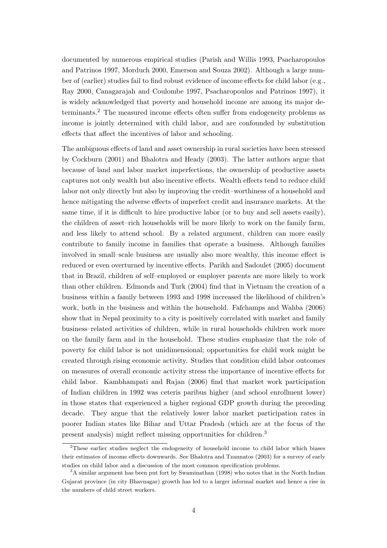documented by numerous empirical studies (Parish and Willis 1993, Psacharopoulos and Patrinos 1997, Morduch 2000, Emerson and Souza 2002). Although a large number of (earlier) studies fail to find robust evidence of income effects for child labor (e.g., Ray 2000, Canagarajah and Coulombe 1997, Psacharopoulos and Patrinos 1997), it is widely acknowledged that poverty and household income are among its major determinants.<sup>2</sup> The measured income effects often suffer from endogeneity problems as income is jointly determined with child labor, and are confounded by substitution effects that affect the incentives of labor and schooling.

The ambiguous effects of land and asset ownership in rural societies have been stressed by Cockburn (2001) and Bhalotra and Heady (2003). The latter authors argue that because of land and labor market imperfections, the ownership of productive assets captures not only wealth but also incentive effects. Wealth effects tend to reduce child labor not only directly but also by improving the credit–worthiness of a household and hence mitigating the adverse effects of imperfect credit and insurance markets. At the same time, if it is difficult to hire productive labor (or to buy and sell assets easily), the children of asset–rich households will be more likely to work on the family farm, and less likely to attend school. By a related argument, children can more easily contribute to family income in families that operate a business. Although families involved in small–scale business are usually also more wealthy, this income effect is reduced or even overturned by incentive effects. Parikh and Sadoulet (2005) document that in Brazil, children of self–employed or employer parents are more likely to work than other children. Edmonds and Turk (2004) find that in Vietnam the creation of a business within a family between 1993 and 1998 increased the likelihood of children's work, both in the business and within the household. Fafchamps and Wahba (2006) show that in Nepal proximity to a city is positively correlated with market and family business–related activities of children, while in rural households children work more on the family farm and in the household. These studies emphasize that the role of poverty for child labor is not unidimensional; opportunities for child work might be created through rising economic activity. Studies that condition child labor outcomes on measures of overall economic activity stress the importance of incentive effects for child labor. Kambhampati and Rajan (2006) find that market work participation of Indian children in 1992 was ceteris paribus higher (and school enrollment lower) in those states that experienced a higher regional GDP growth during the preceding decade. They argue that the relatively lower labor market participation rates in poorer Indian states like Bihar and Uttar Pradesh (which are at the focus of the present analysis) might reflect missing opportunities for children.<sup>3</sup>

<sup>2</sup>These earlier studies neglect the endogeneity of household income to child labor which biases their estimates of income effects downwards. See Bhalotra and Tzannatos (2003) for a survey of early studies on child labor and a discussion of the most common specification problems.

<sup>&</sup>lt;sup>3</sup>A similar argument has been put fort by Swaminathan (1998) who notes that in the North Indian Gujarat province (in city Bhavnagar) growth has led to a larger informal market and hence a rise in the numbers of child street workers.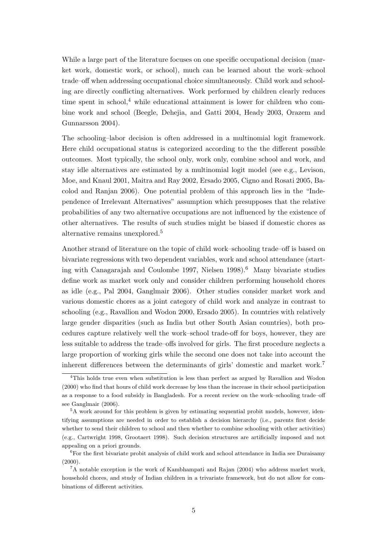While a large part of the literature focuses on one specific occupational decision (market work, domestic work, or school), much can be learned about the work–school trade–off when addressing occupational choice simultaneously. Child work and schooling are directly conflicting alternatives. Work performed by children clearly reduces time spent in school, $4$  while educational attainment is lower for children who combine work and school (Beegle, Dehejia, and Gatti 2004, Heady 2003, Orazem and Gunnarsson 2004).

The schooling–labor decision is often addressed in a multinomial logit framework. Here child occupational status is categorized according to the the different possible outcomes. Most typically, the school only, work only, combine school and work, and stay idle alternatives are estimated by a multinomial logit model (see e.g., Levison, Moe, and Knaul 2001, Maitra and Ray 2002, Ersado 2005, Cigno and Rosati 2005, Bacolod and Ranjan 2006). One potential problem of this approach lies in the "Independence of Irrelevant Alternatives" assumption which presupposes that the relative probabilities of any two alternative occupations are not influenced by the existence of other alternatives. The results of such studies might be biased if domestic chores as alternative remains unexplored.<sup>5</sup>

Another strand of literature on the topic of child work–schooling trade–off is based on bivariate regressions with two dependent variables, work and school attendance (starting with Canagarajah and Coulombe 1997, Nielsen  $1998$ <sup>6</sup> Many bivariate studies define work as market work only and consider children performing household chores as idle (e.g., Pal 2004, Ganglmair 2006). Other studies consider market work and various domestic chores as a joint category of child work and analyze in contrast to schooling (e.g., Ravallion and Wodon 2000, Ersado 2005). In countries with relatively large gender disparities (such as India but other South Asian countries), both procedures capture relatively well the work–school trade-off for boys, however, they are less suitable to address the trade–offs involved for girls. The first procedure neglects a large proportion of working girls while the second one does not take into account the inherent differences between the determinants of girls' domestic and market work.<sup>7</sup>

<sup>4</sup>This holds true even when substitution is less than perfect as argued by Ravallion and Wodon (2000) who find that hours of child work decrease by less than the increase in their school participation as a response to a food subsidy in Bangladesh. For a recent review on the work–schooling trade–off see Ganglmair (2006).

<sup>&</sup>lt;sup>5</sup>A work around for this problem is given by estimating sequential probit models, however, identifying assumptions are needed in order to establish a decision hierarchy (i.e., parents first decide whether to send their children to school and then whether to combine schooling with other activities) (e.g., Cartwright 1998, Grootaert 1998). Such decision structures are artificially imposed and not appealing on a priori grounds.

<sup>6</sup>For the first bivariate probit analysis of child work and school attendance in India see Duraisamy  $(2000)$ .

<sup>7</sup>A notable exception is the work of Kambhampati and Rajan (2004) who address market work, household chores, and study of Indian children in a trivariate framework, but do not allow for combinations of different activities.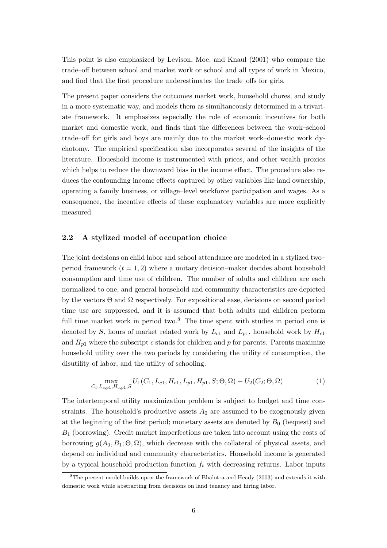This point is also emphasized by Levison, Moe, and Knaul (2001) who compare the trade–off between school and market work or school and all types of work in Mexico, and find that the first procedure underestimates the trade–offs for girls.

The present paper considers the outcomes market work, household chores, and study in a more systematic way, and models them as simultaneously determined in a trivariate framework. It emphasizes especially the role of economic incentives for both market and domestic work, and finds that the differences between the work–school trade–off for girls and boys are mainly due to the market work–domestic work dychotomy. The empirical specification also incorporates several of the insights of the literature. Houeshold income is instrumented with prices, and other wealth proxies which helps to reduce the downward bias in the income effect. The procedure also reduces the confounding income effects captured by other variables like land ownership, operating a family business, or village–level workforce participation and wages. As a consequence, the incentive effects of these explanatory variables are more explicitly measured.

#### 2.2 A stylized model of occupation choice

The joint decisions on child labor and school attendance are modeled in a stylized two– period framework  $(t = 1, 2)$  where a unitary decision–maker decides about household consumption and time use of children. The number of adults and children are each normalized to one, and general household and community characteristics are depicted by the vectors  $\Theta$  and  $\Omega$  respectively. For expositional ease, decisions on second period time use are suppressed, and it is assumed that both adults and children perform full time market work in period two. $8$  The time spent with studies in period one is denoted by S, hours of market related work by  $L_{c1}$  and  $L_{p1}$ , household work by  $H_{c1}$ and  $H_{p1}$  where the subscript c stands for children and p for parents. Parents maximize household utility over the two periods by considering the utility of consumption, the disutility of labor, and the utility of schooling.

$$
\max_{C_t, L_{c, p1}, H_{c, p1}, S} U_1(C_1, L_{c1}, H_{c1}, L_{p1}, H_{p1}, S; \Theta, \Omega) + U_2(C_2; \Theta, \Omega)
$$
(1)

The intertemporal utility maximization problem is subject to budget and time constraints. The household's productive assets  $A_0$  are assumed to be exogenously given at the beginning of the first period; monetary assets are denoted by  $B_0$  (bequest) and  $B_1$  (borrowing). Credit market imperfections are taken into account using the costs of borrowing  $g(A_0, B_1; \Theta, \Omega)$ , which decrease with the collateral of physical assets, and depend on individual and community characteristics. Household income is generated by a typical household production function  $f_t$  with decreasing returns. Labor inputs

<sup>8</sup>The present model builds upon the framework of Bhalotra and Heady (2003) and extends it with domestic work while abstracting from decisions on land tenancy and hiring labor.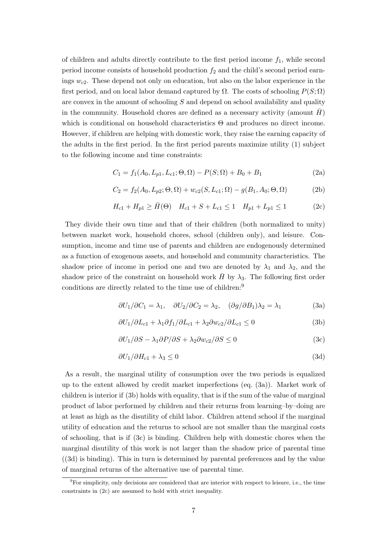of children and adults directly contribute to the first period income  $f_1$ , while second period income consists of household production  $f_2$  and the child's second period earnings  $w_{c2}$ . These depend not only on education, but also on the labor experience in the first period, and on local labor demand captured by  $\Omega$ . The costs of schooling  $P(S; \Omega)$ are convex in the amount of schooling S and depend on school availability and quality in the community. Household chores are defined as a necessary activity (amount  $H$ ) which is conditional on household characteristics  $\Theta$  and produces no direct income. However, if children are helping with domestic work, they raise the earning capacity of the adults in the first period. In the first period parents maximize utility (1) subject to the following income and time constraints:

$$
C_1 = f_1(A_0, L_{p1}, L_{c1}; \Theta, \Omega) - P(S; \Omega) + B_0 + B_1
$$
\n(2a)

$$
C_2 = f_2(A_0, L_{p2}; \Theta, \Omega) + w_{c2}(S, L_{c1}; \Omega) - g(B_1, A_0; \Theta, \Omega)
$$
 (2b)

$$
H_{c1} + H_{p1} \ge \bar{H}(\Theta) \quad H_{c1} + S + L_{c1} \le 1 \quad H_{p1} + L_{p1} \le 1 \tag{2c}
$$

They divide their own time and that of their children (both normalized to unity) between market work, household chores, school (children only), and leisure. Consumption, income and time use of parents and children are endogenously determined as a function of exogenous assets, and household and community characteristics. The shadow price of income in period one and two are denoted by  $\lambda_1$  and  $\lambda_2$ , and the shadow price of the constraint on household work  $\bar{H}$  by  $\lambda_3$ . The following first order conditions are directly related to the time use of children:<sup>9</sup>

$$
\frac{\partial U_1}{\partial C_1} = \lambda_1, \quad \frac{\partial U_2}{\partial C_2} = \lambda_2, \quad \frac{\partial g}{\partial B_1} \lambda_2 = \lambda_1 \tag{3a}
$$

$$
\frac{\partial U_1}{\partial L_{c1}} + \lambda_1 \frac{\partial f_1}{\partial L_{c1}} + \lambda_2 \frac{\partial w_{c2}}{\partial L_{c1}} \le 0
$$
 (3b)

$$
\frac{\partial U_1}{\partial S} - \lambda_1 \frac{\partial P}{\partial S} + \lambda_2 \frac{\partial w_{c2}}{\partial S} \le 0 \tag{3c}
$$

$$
\partial U_1 / \partial H_{c1} + \lambda_3 \le 0 \tag{3d}
$$

As a result, the marginal utility of consumption over the two periods is equalized up to the extent allowed by credit market imperfections (eq. (3a)). Market work of children is interior if (3b) holds with equality, that is if the sum of the value of marginal product of labor performed by children and their returns from learning–by–doing are at least as high as the disutility of child labor. Children attend school if the marginal utility of education and the returns to school are not smaller than the marginal costs of schooling, that is if (3c) is binding. Children help with domestic chores when the marginal disutility of this work is not larger than the shadow price of parental time ((3d) is binding). This in turn is determined by parental preferences and by the value of marginal returns of the alternative use of parental time.

<sup>9</sup>For simplicity, only decisions are considered that are interior with respect to leisure, i.e., the time constraints in (2c) are assumed to hold with strict inequality.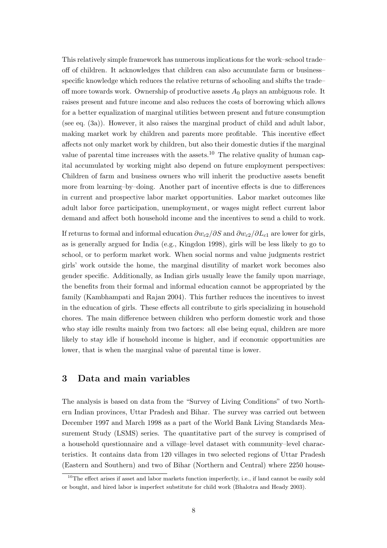This relatively simple framework has numerous implications for the work–school trade– off of children. It acknowledges that children can also accumulate farm or business– specific knowledge which reduces the relative returns of schooling and shifts the trade– off more towards work. Ownership of productive assets  $A_0$  plays an ambiguous role. It raises present and future income and also reduces the costs of borrowing which allows for a better equalization of marginal utilities between present and future consumption (see eq. (3a)). However, it also raises the marginal product of child and adult labor, making market work by children and parents more profitable. This incentive effect affects not only market work by children, but also their domestic duties if the marginal value of parental time increases with the assets.<sup>10</sup> The relative quality of human capital accumulated by working might also depend on future employment perspectives: Children of farm and business owners who will inherit the productive assets benefit more from learning–by–doing. Another part of incentive effects is due to differences in current and prospective labor market opportunities. Labor market outcomes like adult labor force participation, unemployment, or wages might reflect current labor demand and affect both household income and the incentives to send a child to work.

If returns to formal and informal education  $\partial w_{c2}/\partial S$  and  $\partial w_{c2}/\partial L_{c1}$  are lower for girls, as is generally argued for India (e.g., Kingdon 1998), girls will be less likely to go to school, or to perform market work. When social norms and value judgments restrict girls' work outside the home, the marginal disutility of market work becomes also gender specific. Additionally, as Indian girls usually leave the family upon marriage, the benefits from their formal and informal education cannot be appropriated by the family (Kambhampati and Rajan 2004). This further reduces the incentives to invest in the education of girls. These effects all contribute to girls specializing in household chores. The main difference between children who perform domestic work and those who stay idle results mainly from two factors: all else being equal, children are more likely to stay idle if household income is higher, and if economic opportunities are lower, that is when the marginal value of parental time is lower.

## 3 Data and main variables

The analysis is based on data from the "Survey of Living Conditions" of two Northern Indian provinces, Uttar Pradesh and Bihar. The survey was carried out between December 1997 and March 1998 as a part of the World Bank Living Standards Measurement Study (LSMS) series. The quantitative part of the survey is comprised of a household questionnaire and a village–level dataset with community–level characteristics. It contains data from 120 villages in two selected regions of Uttar Pradesh (Eastern and Southern) and two of Bihar (Northern and Central) where 2250 house-

 $10$ The effect arises if asset and labor markets function imperfectly, i.e., if land cannot be easily sold or bought, and hired labor is imperfect substitute for child work (Bhalotra and Heady 2003).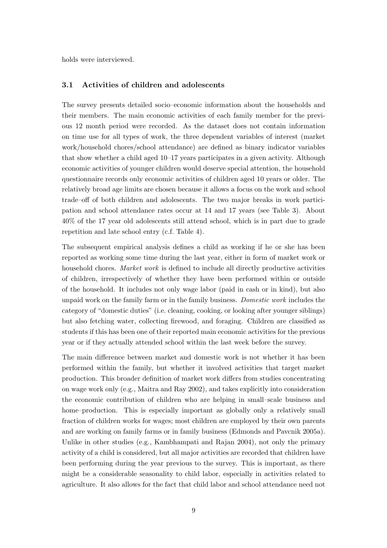holds were interviewed.

#### 3.1 Activities of children and adolescents

The survey presents detailed socio–economic information about the households and their members. The main economic activities of each family member for the previous 12 month period were recorded. As the dataset does not contain information on time use for all types of work, the three dependent variables of interest (market work/household chores/school attendance) are defined as binary indicator variables that show whether a child aged 10–17 years participates in a given activity. Although economic activities of younger children would deserve special attention, the household questionnaire records only economic activities of children aged 10 years or older. The relatively broad age limits are chosen because it allows a focus on the work and school trade–off of both children and adolescents. The two major breaks in work participation and school attendance rates occur at 14 and 17 years (see Table 3). About 40% of the 17 year old adolescents still attend school, which is in part due to grade repetition and late school entry (c.f. Table 4).

The subsequent empirical analysis defines a child as working if he or she has been reported as working some time during the last year, either in form of market work or household chores. *Market work* is defined to include all directly productive activities of children, irrespectively of whether they have been performed within or outside of the household. It includes not only wage labor (paid in cash or in kind), but also unpaid work on the family farm or in the family business. Domestic work includes the category of "domestic duties" (i.e. cleaning, cooking, or looking after younger siblings) but also fetching water, collecting firewood, and foraging. Children are classified as students if this has been one of their reported main economic activities for the previous year or if they actually attended school within the last week before the survey.

The main difference between market and domestic work is not whether it has been performed within the family, but whether it involved activities that target market production. This broader definition of market work differs from studies concentrating on wage work only (e.g., Maitra and Ray 2002), and takes explicitly into consideration the economic contribution of children who are helping in small–scale business and home–production. This is especially important as globally only a relatively small fraction of children works for wages; most children are employed by their own parents and are working on family farms or in family business (Edmonds and Pavcnik 2005a). Unlike in other studies (e.g., Kambhampati and Rajan 2004), not only the primary activity of a child is considered, but all major activities are recorded that children have been performing during the year previous to the survey. This is important, as there might be a considerable seasonality to child labor, especially in activities related to agriculture. It also allows for the fact that child labor and school attendance need not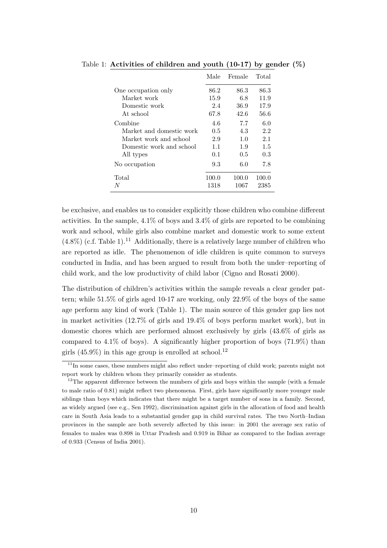|                          | Male  | Female | Total |
|--------------------------|-------|--------|-------|
| One occupation only      | 86.2  | 86.3   | 86.3  |
| Market work              | 15.9  | 6.8    | 11.9  |
| Domestic work            | 2.4   | 36.9   | 17.9  |
| At school                | 67.8  | 42.6   | 56.6  |
| Combine                  | 4.6   | 7.7    | 6.0   |
| Market and domestic work | 0.5   | 4.3    | 2.2   |
| Market work and school   | 2.9   | 1.0    | 2.1   |
| Domestic work and school | 1.1   | 1.9    | 1.5   |
| All types                | 0.1   | 0.5    | 0.3   |
| No occupation            | 9.3   | 6.0    | 7.8   |
| Total                    | 100.0 | 100.0  | 100.0 |
| N                        | 1318  | 1067   | 2385  |

Table 1: Activities of children and youth  $(10-17)$  by gender  $(\%)$ 

be exclusive, and enables us to consider explicitly those children who combine different activities. In the sample,  $4.1\%$  of boys and  $3.4\%$  of girls are reported to be combining work and school, while girls also combine market and domestic work to some extent  $(4.8\%)$  (c.f. Table 1).<sup>11</sup> Additionally, there is a relatively large number of children who are reported as idle. The phenomenon of idle children is quite common to surveys conducted in India, and has been argued to result from both the under–reporting of child work, and the low productivity of child labor (Cigno and Rosati 2000).

The distribution of children's activities within the sample reveals a clear gender pattern; while 51.5% of girls aged 10-17 are working, only 22.9% of the boys of the same age perform any kind of work (Table 1). The main source of this gender gap lies not in market activities (12.7% of girls and 19.4% of boys perform market work), but in domestic chores which are performed almost exclusively by girls (43.6% of girls as compared to  $4.1\%$  of boys). A significantly higher proportion of boys  $(71.9\%)$  than girls  $(45.9\%)$  in this age group is enrolled at school.<sup>12</sup>

 $11$ In some cases, these numbers might also reflect under-reporting of child work; parents might not report work by children whom they primarily consider as students.

<sup>&</sup>lt;sup>12</sup>The apparent difference between the numbers of girls and boys within the sample (with a female to male ratio of 0.81) might reflect two phenomena. First, girls have significantly more younger male siblings than boys which indicates that there might be a target number of sons in a family. Second, as widely argued (see e.g., Sen 1992), discrimination against girls in the allocation of food and health care in South Asia leads to a substantial gender gap in child survival rates. The two North–Indian provinces in the sample are both severely affected by this issue: in 2001 the average sex ratio of females to males was 0.898 in Uttar Pradesh and 0.919 in Bihar as compared to the Indian average of 0.933 (Census of India 2001).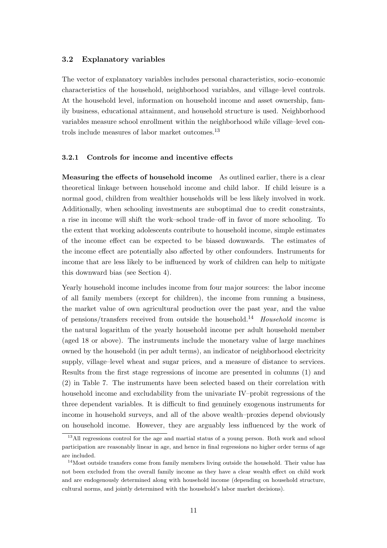#### 3.2 Explanatory variables

The vector of explanatory variables includes personal characteristics, socio–economic characteristics of the household, neighborhood variables, and village–level controls. At the household level, information on household income and asset ownership, family business, educational attainment, and household structure is used. Neighborhood variables measure school enrollment within the neighborhood while village–level controls include measures of labor market outcomes.<sup>13</sup>

#### 3.2.1 Controls for income and incentive effects

Measuring the effects of household income As outlined earlier, there is a clear theoretical linkage between household income and child labor. If child leisure is a normal good, children from wealthier households will be less likely involved in work. Additionally, when schooling investments are suboptimal due to credit constraints, a rise in income will shift the work–school trade–off in favor of more schooling. To the extent that working adolescents contribute to household income, simple estimates of the income effect can be expected to be biased downwards. The estimates of the income effect are potentially also affected by other confounders. Instruments for income that are less likely to be influenced by work of children can help to mitigate this downward bias (see Section 4).

Yearly household income includes income from four major sources: the labor income of all family members (except for children), the income from running a business, the market value of own agricultural production over the past year, and the value of pensions/transfers received from outside the household.<sup>14</sup> Household income is the natural logarithm of the yearly household income per adult household member (aged 18 or above). The instruments include the monetary value of large machines owned by the household (in per adult terms), an indicator of neighborhood electricity supply, village–level wheat and sugar prices, and a measure of distance to services. Results from the first stage regressions of income are presented in columns (1) and (2) in Table 7. The instruments have been selected based on their correlation with household income and excludability from the univariate IV–probit regressions of the three dependent variables. It is difficult to find genuinely exogenous instruments for income in household surveys, and all of the above wealth–proxies depend obviously on household income. However, they are arguably less influenced by the work of

<sup>&</sup>lt;sup>13</sup>All regressions control for the age and martial status of a young person. Both work and school participation are reasonably linear in age, and hence in final regressions no higher order terms of age are included.

<sup>&</sup>lt;sup>14</sup>Most outside transfers come from family members living outside the household. Their value has not been excluded from the overall family income as they have a clear wealth effect on child work and are endogenously determined along with household income (depending on household structure, cultural norms, and jointly determined with the household's labor market decisions).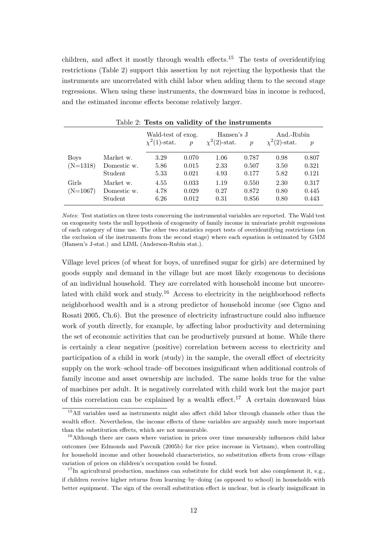children, and affect it mostly through wealth effects.<sup>15</sup> The tests of overidentifying restrictions (Table 2) support this assertion by not rejecting the hypothesis that the instruments are uncorrelated with child labor when adding them to the second stage regressions. When using these instruments, the downward bias in income is reduced, and the estimated income effects become relatively larger.

|                           |                                     | Wald-test of exog.<br>$\chi^2(1)$ -stat.<br>$\mathcal{p}$ |                         | Hansen's J<br>$\chi^2(2)$ -stat. | $\boldsymbol{p}$        | And.-Rubin<br>$\chi^2(2)$ -stat.<br>$\mathcal{p}$ |                         |
|---------------------------|-------------------------------------|-----------------------------------------------------------|-------------------------|----------------------------------|-------------------------|---------------------------------------------------|-------------------------|
| <b>Boys</b><br>$(N=1318)$ | Market w.<br>Domestic w.<br>Student | 3.29<br>5.86<br>5.33                                      | 0.070<br>0.015<br>0.021 | 1.06<br>2.33<br>4.93             | 0.787<br>0.507<br>0.177 | 0.98<br>3.50<br>5.82                              | 0.807<br>0.321<br>0.121 |
| Girls<br>$(N=1067)$       | Market w.<br>Domestic w.<br>Student | 4.55<br>4.78<br>6.26                                      | 0.033<br>0.029<br>0.012 | 1.19<br>0.27<br>0.31             | 0.550<br>0.872<br>0.856 | 2.30<br>0.80<br>0.80                              | 0.317<br>0.445<br>0.443 |

Table 2: Tests on validity of the instruments

Notes: Test statistics on three tests concerning the instrumental variables are reported. The Wald test on exogeneity tests the null hypothesis of exogeneity of family income in univariate probit regressions of each category of time use. The other two statistics report tests of overidentifying restrictions (on the exclusion of the instruments from the second stage) where each equation is estimated by GMM (Hansen's J-stat.) and LIML (Anderson-Rubin stat.).

Village level prices (of wheat for boys, of unrefined sugar for girls) are determined by goods supply and demand in the village but are most likely exogenous to decisions of an individual household. They are correlated with household income but uncorrelated with child work and study.<sup>16</sup> Access to electricity in the neighborhood reflects neighborhood wealth and is a strong predictor of household income (see Cigno and Rosati 2005, Ch.6). But the presence of electricity infrastructure could also influence work of youth directly, for example, by affecting labor productivity and determining the set of economic activities that can be productively pursued at home. While there is certainly a clear negative (positive) correlation between access to electricity and participation of a child in work (study) in the sample, the overall effect of electricity supply on the work–school trade–off becomes insignificant when additional controls of family income and asset ownership are included. The same holds true for the value of machines per adult. It is negatively correlated with child work but the major part of this correlation can be explained by a wealth effect.<sup>17</sup> A certain downward bias

<sup>&</sup>lt;sup>15</sup>All variables used as instruments might also affect child labor through channels other than the wealth effect. Nevertheless, the income effects of these variables are arguably much more important than the substitution effects, which are not measurable.

<sup>&</sup>lt;sup>16</sup>Although there are cases where variation in prices over time measurably influences child labor outcomes (see Edmonds and Pavcnik (2005b) for rice price increase in Vietnam), when controlling for household income and other household characteristics, no substitution effects from cross–village variation of prices on children's occupation could be found.

 $17$ In agricultural production, machines can substitute for child work but also complement it, e.g., if children receive higher returns from learning–by–doing (as opposed to school) in households with better equipment. The sign of the overall substitution effect is unclear, but is clearly insignificant in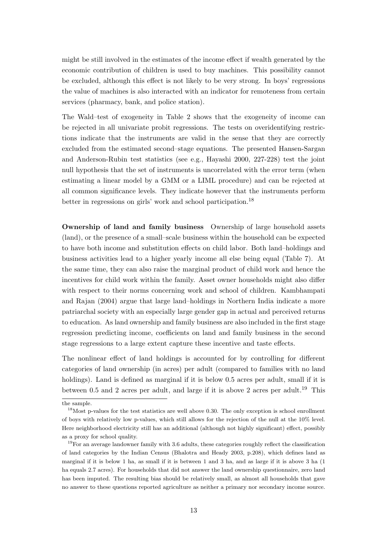might be still involved in the estimates of the income effect if wealth generated by the economic contribution of children is used to buy machines. This possibility cannot be excluded, although this effect is not likely to be very strong. In boys' regressions the value of machines is also interacted with an indicator for remoteness from certain services (pharmacy, bank, and police station).

The Wald–test of exogeneity in Table 2 shows that the exogeneity of income can be rejected in all univariate probit regressions. The tests on overidentifying restrictions indicate that the instruments are valid in the sense that they are correctly excluded from the estimated second–stage equations. The presented Hansen-Sargan and Anderson-Rubin test statistics (see e.g., Hayashi 2000, 227-228) test the joint null hypothesis that the set of instruments is uncorrelated with the error term (when estimating a linear model by a GMM or a LIML procedure) and can be rejected at all common significance levels. They indicate however that the instruments perform better in regressions on girls' work and school participation.<sup>18</sup>

Ownership of land and family business Ownership of large household assets (land), or the presence of a small–scale business within the household can be expected to have both income and substitution effects on child labor. Both land–holdings and business activities lead to a higher yearly income all else being equal (Table 7). At the same time, they can also raise the marginal product of child work and hence the incentives for child work within the family. Asset owner households might also differ with respect to their norms concerning work and school of children. Kambhampati and Rajan (2004) argue that large land–holdings in Northern India indicate a more patriarchal society with an especially large gender gap in actual and perceived returns to education. As land ownership and family business are also included in the first stage regression predicting income, coefficients on land and family business in the second stage regressions to a large extent capture these incentive and taste effects.

The nonlinear effect of land holdings is accounted for by controlling for different categories of land ownership (in acres) per adult (compared to families with no land holdings). Land is defined as marginal if it is below 0.5 acres per adult, small if it is between 0.5 and 2 acres per adult, and large if it is above 2 acres per adult.<sup>19</sup> This

the sample.

 $18$ Most p-values for the test statistics are well above 0.30. The only exception is school enrollment of boys with relatively low p-values, which still allows for the rejection of the null at the 10% level. Here neighborhood electricity still has an additional (although not highly significant) effect, possibly as a proxy for school quality.

<sup>&</sup>lt;sup>19</sup>For an average landowner family with 3.6 adults, these categories roughly reflect the classification of land categories by the Indian Census (Bhalotra and Heady 2003, p.208), which defines land as marginal if it is below 1 ha, as small if it is between 1 and 3 ha, and as large if it is above 3 ha (1 ha equals 2.7 acres). For households that did not answer the land ownership questionnaire, zero land has been imputed. The resulting bias should be relatively small, as almost all households that gave no answer to these questions reported agriculture as neither a primary nor secondary income source.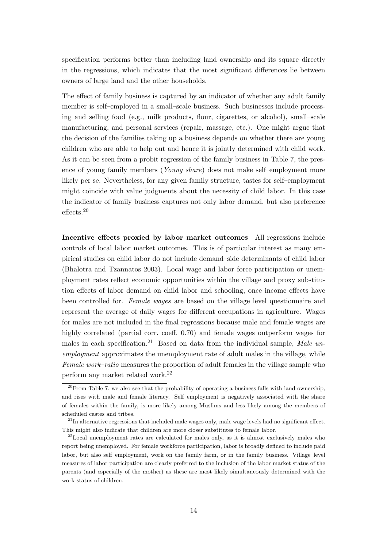specification performs better than including land ownership and its square directly in the regressions, which indicates that the most significant differences lie between owners of large land and the other households.

The effect of family business is captured by an indicator of whether any adult family member is self–employed in a small–scale business. Such businesses include processing and selling food (e.g., milk products, flour, cigarettes, or alcohol), small–scale manufacturing, and personal services (repair, massage, etc.). One might argue that the decision of the families taking up a business depends on whether there are young children who are able to help out and hence it is jointly determined with child work. As it can be seen from a probit regression of the family business in Table 7, the presence of young family members (Young share) does not make self–employment more likely per se. Nevertheless, for any given family structure, tastes for self–employment might coincide with value judgments about the necessity of child labor. In this case the indicator of family business captures not only labor demand, but also preference effects.<sup>20</sup>

Incentive effects proxied by labor market outcomes All regressions include controls of local labor market outcomes. This is of particular interest as many empirical studies on child labor do not include demand–side determinants of child labor (Bhalotra and Tzannatos 2003). Local wage and labor force participation or unemployment rates reflect economic opportunities within the village and proxy substitution effects of labor demand on child labor and schooling, once income effects have been controlled for. Female wages are based on the village level questionnaire and represent the average of daily wages for different occupations in agriculture. Wages for males are not included in the final regressions because male and female wages are highly correlated (partial corr. coeff. 0.70) and female wages outperform wages for males in each specification.<sup>21</sup> Based on data from the individual sample, Male unemployment approximates the unemployment rate of adult males in the village, while Female work–ratio measures the proportion of adult females in the village sample who perform any market related work.<sup>22</sup>

 $^{20}$ From Table 7, we also see that the probability of operating a business falls with land ownership, and rises with male and female literacy. Self–employment is negatively associated with the share of females within the family, is more likely among Muslims and less likely among the members of scheduled castes and tribes.

 $^{21}$ In alternative regressions that included male wages only, male wage levels had no significant effect. This might also indicate that children are more closer substitutes to female labor.

<sup>&</sup>lt;sup>22</sup>Local unemployment rates are calculated for males only, as it is almost exclusively males who report being unemployed. For female workforce participation, labor is broadly defined to include paid labor, but also self–employment, work on the family farm, or in the family business. Village–level measures of labor participation are clearly preferred to the inclusion of the labor market status of the parents (and especially of the mother) as these are most likely simultaneously determined with the work status of children.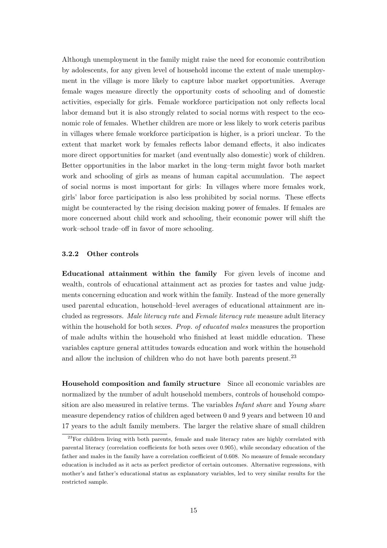Although unemployment in the family might raise the need for economic contribution by adolescents, for any given level of household income the extent of male unemployment in the village is more likely to capture labor market opportunities. Average female wages measure directly the opportunity costs of schooling and of domestic activities, especially for girls. Female workforce participation not only reflects local labor demand but it is also strongly related to social norms with respect to the economic role of females. Whether children are more or less likely to work ceteris paribus in villages where female workforce participation is higher, is a priori unclear. To the extent that market work by females reflects labor demand effects, it also indicates more direct opportunities for market (and eventually also domestic) work of children. Better opportunities in the labor market in the long–term might favor both market work and schooling of girls as means of human capital accumulation. The aspect of social norms is most important for girls: In villages where more females work, girls' labor force participation is also less prohibited by social norms. These effects might be counteracted by the rising decision making power of females. If females are more concerned about child work and schooling, their economic power will shift the work–school trade–off in favor of more schooling.

#### 3.2.2 Other controls

Educational attainment within the family For given levels of income and wealth, controls of educational attainment act as proxies for tastes and value judgments concerning education and work within the family. Instead of the more generally used parental education, household–level averages of educational attainment are included as regressors. Male literacy rate and Female literacy rate measure adult literacy within the household for both sexes. *Prop. of educated males* measures the proportion of male adults within the household who finished at least middle education. These variables capture general attitudes towards education and work within the household and allow the inclusion of children who do not have both parents present.<sup>23</sup>

Household composition and family structure Since all economic variables are normalized by the number of adult household members, controls of household composition are also measured in relative terms. The variables *Infant share* and *Young share* measure dependency ratios of children aged between 0 and 9 years and between 10 and 17 years to the adult family members. The larger the relative share of small children

<sup>&</sup>lt;sup>23</sup>For children living with both parents, female and male literacy rates are highly correlated with parental literacy (correlation coefficients for both sexes over 0.905), while secondary education of the father and males in the family have a correlation coefficient of 0.608. No measure of female secondary education is included as it acts as perfect predictor of certain outcomes. Alternative regressions, with mother's and father's educational status as explanatory variables, led to very similar results for the restricted sample.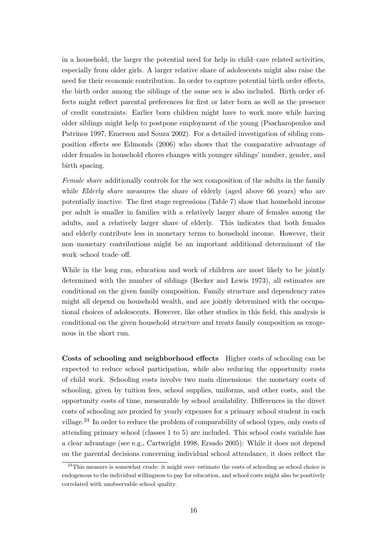in a household, the larger the potential need for help in child–care related activities, especially from older girls. A larger relative share of adolescents might also raise the need for their economic contribution. In order to capture potential birth order effects, the birth order among the siblings of the same sex is also included. Birth order effects might reflect parental preferences for first or later born as well as the presence of credit constraints: Earlier born children might have to work more while having older siblings might help to postpone employment of the young (Psacharopoulos and Patrinos 1997, Emerson and Souza 2002). For a detailed investigation of sibling composition effects see Edmonds (2006) who shows that the comparative advantage of older females in household chores changes with younger siblings' number, gender, and birth spacing.

Female share additionally controls for the sex composition of the adults in the family while *Elderly share* measures the share of elderly (aged above 66 years) who are potentially inactive. The first stage regressions (Table 7) show that household income per adult is smaller in families with a relatively larger share of females among the adults, and a relatively larger share of elderly. This indicates that both females and elderly contribute less in monetary terms to household income. However, their non–monetary contributions might be an important additional determinant of the work–school trade–off.

While in the long run, education and work of children are most likely to be jointly determined with the number of siblings (Becker and Lewis 1973), all estimates are conditional on the given family composition. Family structure and dependency rates might all depend on household wealth, and are jointly determined with the occupational choices of adolescents. However, like other studies in this field, this analysis is conditional on the given household structure and treats family composition as exogenous in the short run.

Costs of schooling and neighborhood effects Higher costs of schooling can be expected to reduce school participation, while also reducing the opportunity costs of child work. Schooling costs involve two main dimensions: the monetary costs of schooling, given by tuition fees, school supplies, uniforms, and other costs, and the opportunity costs of time, measurable by school availability. Differences in the direct costs of schooling are proxied by yearly expenses for a primary school student in each village.<sup>24</sup> In order to reduce the problem of comparability of school types, only costs of attending primary school (classes 1 to 5) are included. This school costs variable has a clear advantage (see e.g., Cartwright 1998, Ersado 2005): While it does not depend on the parental decisions concerning individual school attendance, it does reflect the

 $^{24}$ This measure is somewhat crude: it might over-estimate the costs of schooling as school choice is endogenous to the individual willingness to pay for education, and school costs might also be positively correlated with unobservable school quality.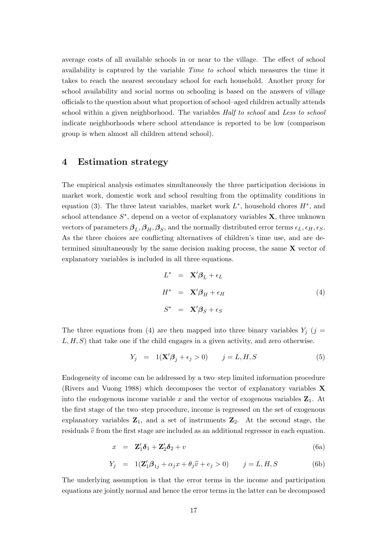average costs of all available schools in or near to the village. The effect of school availability is captured by the variable Time to school which measures the time it takes to reach the nearest secondary school for each household. Another proxy for school availability and social norms on schooling is based on the answers of village officials to the question about what proportion of school–aged children actually attends school within a given neighborhood. The variables Half to school and Less to school indicate neighborhoods where school attendance is reported to be low (comparison group is when almost all children attend school).

## 4 Estimation strategy

The empirical analysis estimates simultaneously the three participation decisions in market work, domestic work and school resulting from the optimality conditions in equation (3). The three latent variables, market work  $L^*$ , household chores  $H^*$ , and school attendance  $S^*$ , depend on a vector of explanatory variables **X**, three unknown vectors of parameters  $\beta_L, \beta_H, \beta_S$ , and the normally distributed error terms  $\epsilon_L, \epsilon_H, \epsilon_S$ . As the three choices are conflicting alternatives of children's time use, and are determined simultaneously by the same decision making process, the same  $X$  vector of explanatory variables is included in all three equations.

$$
L^* = \mathbf{X}'\boldsymbol{\beta}_L + \epsilon_L
$$
  
\n
$$
H^* = \mathbf{X}'\boldsymbol{\beta}_H + \epsilon_H
$$
  
\n
$$
S^* = \mathbf{X}'\boldsymbol{\beta}_S + \epsilon_S
$$
\n(4)

The three equations from (4) are then mapped into three binary variables  $Y_j$  (j =  $L, H, S$ ) that take one if the child engages in a given activity, and zero otherwise.

$$
Y_j = 1(\mathbf{X}'\boldsymbol{\beta}_j + \epsilon_j > 0) \qquad j = L, H, S \tag{5}
$$

Endogeneity of income can be addressed by a two–step limited information procedure (Rivers and Vuong 1988) which decomposes the vector of explanatory variables X into the endogenous income variable x and the vector of exogenous variables  $\mathbf{Z}_1$ . At the first stage of the two–step procedure, income is regressed on the set of exogenous explanatory variables  $\mathbf{Z}_1$ , and a set of instruments  $\mathbf{Z}_2$ . At the second stage, the residuals  $\hat{v}$  from the first stage are included as an additional regressor in each equation.

$$
x = \mathbf{Z}'_1 \boldsymbol{\delta}_1 + \mathbf{Z}'_2 \boldsymbol{\delta}_2 + v \tag{6a}
$$

$$
Y_j = 1(\mathbf{Z}_1'\boldsymbol{\beta}_{1j} + \alpha_j x + \theta_j \widehat{v} + e_j > 0) \qquad j = L, H, S
$$
 (6b)

The underlying assumption is that the error terms in the income and participation equations are jointly normal and hence the error terms in the latter can be decomposed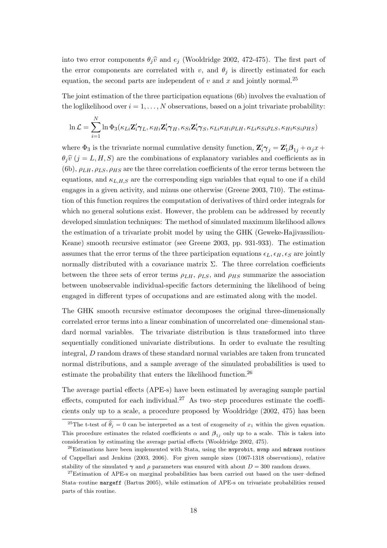into two error components  $\theta_i\hat{v}$  and  $e_j$  (Wooldridge 2002, 472-475). The first part of the error components are correlated with v, and  $\theta_i$  is directly estimated for each equation, the second parts are independent of  $v$  and  $x$  and jointly normal.<sup>25</sup>

The joint estimation of the three participation equations (6b) involves the evaluation of the loglikelihood over  $i = 1, \ldots, N$  observations, based on a joint trivariate probability:

$$
\ln \mathcal{L} = \sum_{i=1}^{N} \ln \Phi_3(\kappa_{Li} \mathbf{Z}_i' \boldsymbol{\gamma}_L, \kappa_{Hi} \mathbf{Z}_i' \boldsymbol{\gamma}_H, \kappa_{Si} \mathbf{Z}_i' \boldsymbol{\gamma}_S, \kappa_{Li} \kappa_{Hi} \rho_{LH}, \kappa_{Li} \kappa_{Si} \rho_{LS}, \kappa_{Hi} \kappa_{Si} \rho_{HS})
$$

where  $\Phi_3$  is the trivariate normal cumulative density function,  $\mathbf{Z}'_i \boldsymbol{\gamma}_j = \mathbf{Z}'_1 \boldsymbol{\beta}_{1j} + \alpha_j x + \sigma_j x$  $\theta_i\hat{v}$  (j = L, H, S) are the combinations of explanatory variables and coefficients as in (6b),  $\rho_{LH}, \rho_{LS}, \rho_{HS}$  are the three correlation coefficients of the error terms between the equations, and  $\kappa_{L,H,S}$  are the corresponding sign variables that equal to one if a child engages in a given activity, and minus one otherwise (Greene 2003, 710). The estimation of this function requires the computation of derivatives of third order integrals for which no general solutions exist. However, the problem can be addressed by recently developed simulation techniques: The method of simulated maximum likelihood allows the estimation of a trivariate probit model by using the GHK (Geweke-Hajivassiliou-Keane) smooth recursive estimator (see Greene 2003, pp. 931-933). The estimation assumes that the error terms of the three participation equations  $\epsilon_L, \epsilon_H, \epsilon_S$  are jointly normally distributed with a covariance matrix  $\Sigma$ . The three correlation coefficients between the three sets of error terms  $\rho_{LH}$ ,  $\rho_{LS}$ , and  $\rho_{HS}$  summarize the association between unobservable individual-specific factors determining the likelihood of being engaged in different types of occupations and are estimated along with the model.

The GHK smooth recursive estimator decomposes the original three-dimensionally correlated error terms into a linear combination of uncorrelated one–dimensional standard normal variables. The trivariate distribution is thus transformed into three sequentially conditioned univariate distributions. In order to evaluate the resulting integral, D random draws of these standard normal variables are taken from truncated normal distributions, and a sample average of the simulated probabilities is used to estimate the probability that enters the likelihood function.<sup>26</sup>

The average partial effects (APE-s) have been estimated by averaging sample partial effects, computed for each individual.<sup>27</sup> As two–step procedures estimate the coefficients only up to a scale, a procedure proposed by Wooldridge (2002, 475) has been

<sup>&</sup>lt;sup>25</sup>The t-test of  $\hat{\theta}_j = 0$  can be interpreted as a test of exogeneity of  $x_1$  within the given equation. This procedure estimates the related coefficients  $\alpha$  and  $\beta_{1j}$  only up to a scale. This is taken into consideration by estimating the average partial effects (Wooldridge 2002, 475).

 $26$ Estimations have been implemented with Stata, using the mvprobit, mvnp and mdraws routines of Cappellari and Jenkins (2003, 2006). For given sample sizes (1067-1318 observations), relative stability of the simulated  $\gamma$  and  $\rho$  parameters was ensured with about  $D = 300$  random draws.

<sup>&</sup>lt;sup>27</sup>Estimation of APE-s on marginal probabilities has been carried out based on the user-defined Stata–routine margeff (Bartus 2005), while estimation of APE-s on trivariate probabilities reused parts of this routine.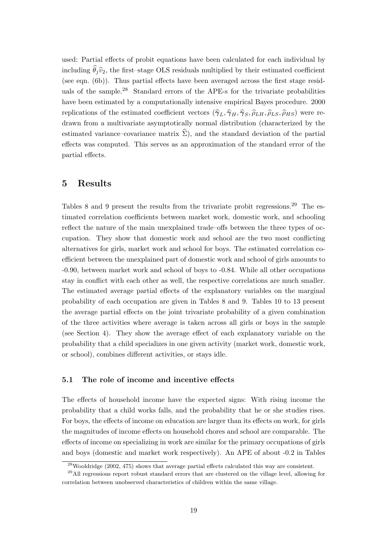used: Partial effects of probit equations have been calculated for each individual by including  $\hat{\theta}_i \hat{v}_2$ , the first–stage OLS residuals multiplied by their estimated coefficient (see eqn. (6b)). Thus partial effects have been averaged across the first stage residuals of the sample.<sup>28</sup> Standard errors of the APE-s for the trivariate probabilities have been estimated by a computationally intensive empirical Bayes procedure. 2000 replications of the estimated coefficient vectors  $(\hat{\gamma}_L, \hat{\gamma}_H, \hat{\gamma}_S, \hat{\rho}_{LH}, \hat{\rho}_{LS}, \hat{\rho}_{HS})$  were redrawn from a multivariate asymptotically normal distribution (characterized by the estimated variance–covariance matrix  $\Sigma$ ), and the standard deviation of the partial effects was computed. This serves as an approximation of the standard error of the partial effects.

## 5 Results

Tables 8 and 9 present the results from the trivariate probit regressions.<sup>29</sup> The estimated correlation coefficients between market work, domestic work, and schooling reflect the nature of the main unexplained trade–offs between the three types of occupation. They show that domestic work and school are the two most conflicting alternatives for girls, market work and school for boys. The estimated correlation coefficient between the unexplained part of domestic work and school of girls amounts to -0.90, between market work and school of boys to -0.84. While all other occupations stay in conflict with each other as well, the respective correlations are much smaller. The estimated average partial effects of the explanatory variables on the marginal probability of each occupation are given in Tables 8 and 9. Tables 10 to 13 present the average partial effects on the joint trivariate probability of a given combination of the three activities where average is taken across all girls or boys in the sample (see Section 4). They show the average effect of each explanatory variable on the probability that a child specializes in one given activity (market work, domestic work, or school), combines different activities, or stays idle.

#### 5.1 The role of income and incentive effects

The effects of household income have the expected signs: With rising income the probability that a child works falls, and the probability that he or she studies rises. For boys, the effects of income on education are larger than its effects on work, for girls the magnitudes of income effects on household chores and school are comparable. The effects of income on specializing in work are similar for the primary occupations of girls and boys (domestic and market work respectively). An APE of about -0.2 in Tables

 $^{28}$ Wooldridge (2002, 475) shows that average partial effects calculated this way are consistent.

<sup>&</sup>lt;sup>29</sup>All regressions report robust standard errors that are clustered on the village level, allowing for correlation between unobserved characteristics of children within the same village.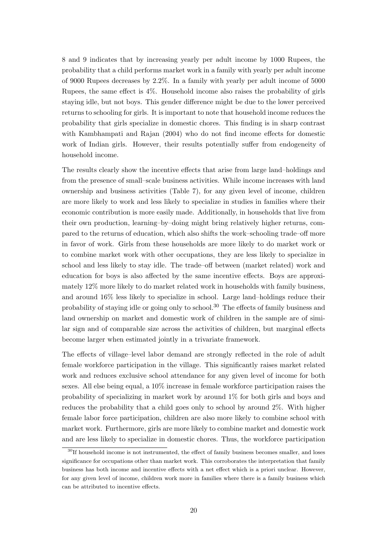8 and 9 indicates that by increasing yearly per adult income by 1000 Rupees, the probability that a child performs market work in a family with yearly per adult income of 9000 Rupees decreases by 2.2%. In a family with yearly per adult income of 5000 Rupees, the same effect is 4%. Household income also raises the probability of girls staying idle, but not boys. This gender difference might be due to the lower perceived returns to schooling for girls. It is important to note that household income reduces the probability that girls specialize in domestic chores. This finding is in sharp contrast with Kambhampati and Rajan (2004) who do not find income effects for domestic work of Indian girls. However, their results potentially suffer from endogeneity of household income.

The results clearly show the incentive effects that arise from large land–holdings and from the presence of small–scale business activities. While income increases with land ownership and business activities (Table 7), for any given level of income, children are more likely to work and less likely to specialize in studies in families where their economic contribution is more easily made. Additionally, in households that live from their own production, learning–by–doing might bring relatively higher returns, compared to the returns of education, which also shifts the work–schooling trade–off more in favor of work. Girls from these households are more likely to do market work or to combine market work with other occupations, they are less likely to specialize in school and less likely to stay idle. The trade–off between (market related) work and education for boys is also affected by the same incentive effects. Boys are approximately 12% more likely to do market related work in households with family business, and around 16% less likely to specialize in school. Large land–holdings reduce their probability of staying idle or going only to school.<sup>30</sup> The effects of family business and land ownership on market and domestic work of children in the sample are of similar sign and of comparable size across the activities of children, but marginal effects become larger when estimated jointly in a trivariate framework.

The effects of village–level labor demand are strongly reflected in the role of adult female workforce participation in the village. This significantly raises market related work and reduces exclusive school attendance for any given level of income for both sexes. All else being equal, a 10% increase in female workforce participation raises the probability of specializing in market work by around 1% for both girls and boys and reduces the probability that a child goes only to school by around 2%. With higher female labor force participation, children are also more likely to combine school with market work. Furthermore, girls are more likely to combine market and domestic work and are less likely to specialize in domestic chores. Thus, the workforce participation

<sup>&</sup>lt;sup>30</sup>If household income is not instrumented, the effect of family business becomes smaller, and loses significance for occupations other than market work. This corroborates the interpretation that family business has both income and incentive effects with a net effect which is a priori unclear. However, for any given level of income, children work more in families where there is a family business which can be attributed to incentive effects.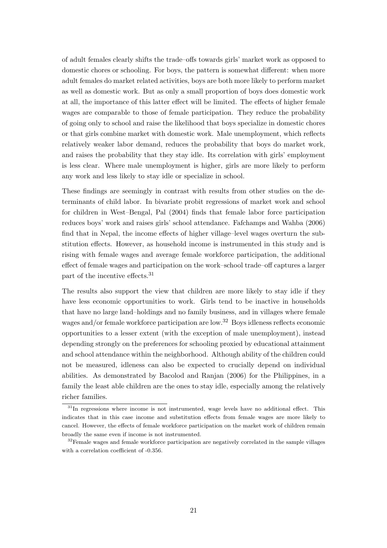of adult females clearly shifts the trade–offs towards girls' market work as opposed to domestic chores or schooling. For boys, the pattern is somewhat different: when more adult females do market related activities, boys are both more likely to perform market as well as domestic work. But as only a small proportion of boys does domestic work at all, the importance of this latter effect will be limited. The effects of higher female wages are comparable to those of female participation. They reduce the probability of going only to school and raise the likelihood that boys specialize in domestic chores or that girls combine market with domestic work. Male unemployment, which reflects relatively weaker labor demand, reduces the probability that boys do market work, and raises the probability that they stay idle. Its correlation with girls' employment is less clear. Where male unemployment is higher, girls are more likely to perform any work and less likely to stay idle or specialize in school.

These findings are seemingly in contrast with results from other studies on the determinants of child labor. In bivariate probit regressions of market work and school for children in West–Bengal, Pal (2004) finds that female labor force participation reduces boys' work and raises girls' school attendance. Fafchamps and Wahba (2006) find that in Nepal, the income effects of higher village–level wages overturn the substitution effects. However, as household income is instrumented in this study and is rising with female wages and average female workforce participation, the additional effect of female wages and participation on the work–school trade–off captures a larger part of the incentive effects.<sup>31</sup>

The results also support the view that children are more likely to stay idle if they have less economic opportunities to work. Girls tend to be inactive in households that have no large land–holdings and no family business, and in villages where female wages and/or female workforce participation are low.<sup>32</sup> Boys idleness reflects economic opportunities to a lesser extent (with the exception of male unemployment), instead depending strongly on the preferences for schooling proxied by educational attainment and school attendance within the neighborhood. Although ability of the children could not be measured, idleness can also be expected to crucially depend on individual abilities. As demonstrated by Bacolod and Ranjan (2006) for the Philippines, in a family the least able children are the ones to stay idle, especially among the relatively richer families.

 $31$ In regressions where income is not instrumented, wage levels have no additional effect. This indicates that in this case income and substitution effects from female wages are more likely to cancel. However, the effects of female workforce participation on the market work of children remain broadly the same even if income is not instrumented.

<sup>&</sup>lt;sup>32</sup>Female wages and female workforce participation are negatively correlated in the sample villages with a correlation coefficient of -0.356.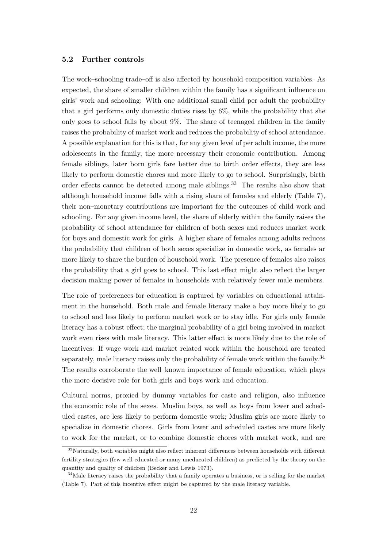#### 5.2 Further controls

The work–schooling trade–off is also affected by household composition variables. As expected, the share of smaller children within the family has a significant influence on girls' work and schooling: With one additional small child per adult the probability that a girl performs only domestic duties rises by 6%, while the probability that she only goes to school falls by about 9%. The share of teenaged children in the family raises the probability of market work and reduces the probability of school attendance. A possible explanation for this is that, for any given level of per adult income, the more adolescents in the family, the more necessary their economic contribution. Among female siblings, later born girls fare better due to birth order effects, they are less likely to perform domestic chores and more likely to go to school. Surprisingly, birth order effects cannot be detected among male siblings.<sup>33</sup> The results also show that although household income falls with a rising share of females and elderly (Table 7), their non–monetary contributions are important for the outcomes of child work and schooling. For any given income level, the share of elderly within the family raises the probability of school attendance for children of both sexes and reduces market work for boys and domestic work for girls. A higher share of females among adults reduces the probability that children of both sexes specialize in domestic work, as females ar more likely to share the burden of household work. The presence of females also raises the probability that a girl goes to school. This last effect might also reflect the larger decision making power of females in households with relatively fewer male members.

The role of preferences for education is captured by variables on educational attainment in the household. Both male and female literacy make a boy more likely to go to school and less likely to perform market work or to stay idle. For girls only female literacy has a robust effect; the marginal probability of a girl being involved in market work even rises with male literacy. This latter effect is more likely due to the role of incentives: If wage work and market related work within the household are treated separately, male literacy raises only the probability of female work within the family.<sup>34</sup> The results corroborate the well–known importance of female education, which plays the more decisive role for both girls and boys work and education.

Cultural norms, proxied by dummy variables for caste and religion, also influence the economic role of the sexes. Muslim boys, as well as boys from lower and scheduled castes, are less likely to perform domestic work; Muslim girls are more likely to specialize in domestic chores. Girls from lower and scheduled castes are more likely to work for the market, or to combine domestic chores with market work, and are

<sup>33</sup>Naturally, both variables might also reflect inherent differences between households with different fertility strategies (few well-educated or many uneducated children) as predicted by the theory on the quantity and quality of children (Becker and Lewis 1973).

<sup>&</sup>lt;sup>34</sup>Male literacy raises the probability that a family operates a business, or is selling for the market (Table 7). Part of this incentive effect might be captured by the male literacy variable.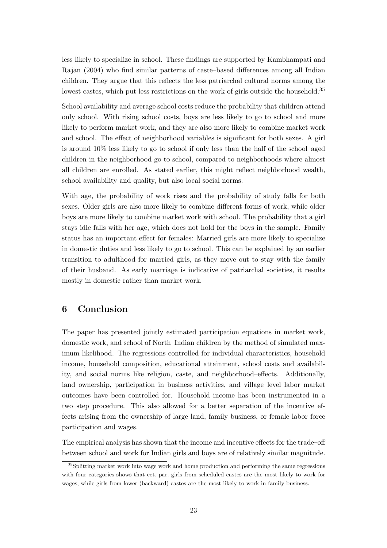less likely to specialize in school. These findings are supported by Kambhampati and Rajan (2004) who find similar patterns of caste–based differences among all Indian children. They argue that this reflects the less patriarchal cultural norms among the lowest castes, which put less restrictions on the work of girls outside the household.<sup>35</sup>

School availability and average school costs reduce the probability that children attend only school. With rising school costs, boys are less likely to go to school and more likely to perform market work, and they are also more likely to combine market work and school. The effect of neighborhood variables is significant for both sexes. A girl is around 10% less likely to go to school if only less than the half of the school–aged children in the neighborhood go to school, compared to neighborhoods where almost all children are enrolled. As stated earlier, this might reflect neighborhood wealth, school availability and quality, but also local social norms.

With age, the probability of work rises and the probability of study falls for both sexes. Older girls are also more likely to combine different forms of work, while older boys are more likely to combine market work with school. The probability that a girl stays idle falls with her age, which does not hold for the boys in the sample. Family status has an important effect for females: Married girls are more likely to specialize in domestic duties and less likely to go to school. This can be explained by an earlier transition to adulthood for married girls, as they move out to stay with the family of their husband. As early marriage is indicative of patriarchal societies, it results mostly in domestic rather than market work.

## 6 Conclusion

The paper has presented jointly estimated participation equations in market work, domestic work, and school of North–Indian children by the method of simulated maximum likelihood. The regressions controlled for individual characteristics, household income, household composition, educational attainment, school costs and availability, and social norms like religion, caste, and neighborhood–effects. Additionally, land ownership, participation in business activities, and village–level labor market outcomes have been controlled for. Household income has been instrumented in a two–step procedure. This also allowed for a better separation of the incentive effects arising from the ownership of large land, family business, or female labor force participation and wages.

The empirical analysis has shown that the income and incentive effects for the trade–off between school and work for Indian girls and boys are of relatively similar magnitude.

<sup>&</sup>lt;sup>35</sup>Splitting market work into wage work and home production and performing the same regressions with four categories shows that cet. par. girls from scheduled castes are the most likely to work for wages, while girls from lower (backward) castes are the most likely to work in family business.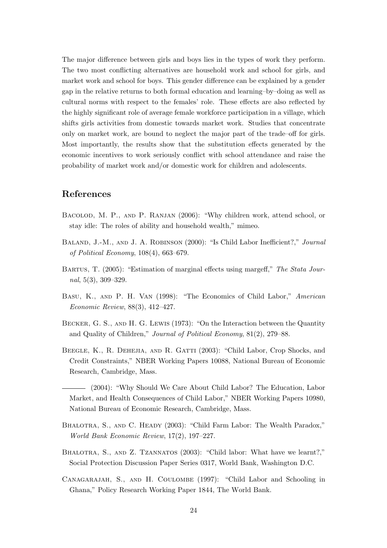The major difference between girls and boys lies in the types of work they perform. The two most conflicting alternatives are household work and school for girls, and market work and school for boys. This gender difference can be explained by a gender gap in the relative returns to both formal education and learning–by–doing as well as cultural norms with respect to the females' role. These effects are also reflected by the highly significant role of average female workforce participation in a village, which shifts girls activities from domestic towards market work. Studies that concentrate only on market work, are bound to neglect the major part of the trade–off for girls. Most importantly, the results show that the substitution effects generated by the economic incentives to work seriously conflict with school attendance and raise the probability of market work and/or domestic work for children and adolescents.

### References

- Bacolod, M. P., and P. Ranjan (2006): "Why children work, attend school, or stay idle: The roles of ability and household wealth," mimeo.
- BALAND, J.-M., AND J. A. ROBINSON (2000): "Is Child Labor Inefficient?," Journal of Political Economy, 108(4), 663–679.
- BARTUS, T. (2005): "Estimation of marginal effects using margeff," The Stata Journal, 5(3), 309–329.
- Basu, K., and P. H. Van (1998): "The Economics of Child Labor," American Economic Review, 88(3), 412–427.
- BECKER, G. S., AND H. G. LEWIS (1973): "On the Interaction between the Quantity and Quality of Children," Journal of Political Economy, 81(2), 279–88.
- Beegle, K., R. Dehejia, and R. Gatti (2003): "Child Labor, Crop Shocks, and Credit Constraints," NBER Working Papers 10088, National Bureau of Economic Research, Cambridge, Mass.
- (2004): "Why Should We Care About Child Labor? The Education, Labor Market, and Health Consequences of Child Labor," NBER Working Papers 10980, National Bureau of Economic Research, Cambridge, Mass.
- BHALOTRA, S., AND C. HEADY (2003): "Child Farm Labor: The Wealth Paradox," World Bank Economic Review, 17(2), 197–227.
- BHALOTRA, S., AND Z. TZANNATOS (2003): "Child labor: What have we learnt?," Social Protection Discussion Paper Series 0317, World Bank, Washington D.C.
- Canagarajah, S., and H. Coulombe (1997): "Child Labor and Schooling in Ghana," Policy Research Working Paper 1844, The World Bank.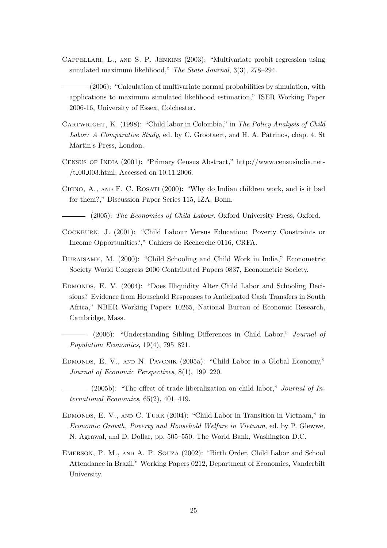- Cappellari, L., and S. P. Jenkins (2003): "Multivariate probit regression using simulated maximum likelihood," The Stata Journal, 3(3), 278–294.
- (2006): "Calculation of multivariate normal probabilities by simulation, with applications to maximum simulated likelihood estimation," ISER Working Paper 2006-16, University of Essex, Colchester.
- CARTWRIGHT, K. (1998): "Child labor in Colombia," in The Policy Analysis of Child Labor: A Comparative Study, ed. by C. Grootaert, and H. A. Patrinos, chap. 4. St Martin's Press, London.
- Census of India (2001): "Primary Census Abstract," http://www.censusindia.net- /t 00 003.html, Accessed on 10.11.2006.
- Cigno, A., and F. C. Rosati (2000): "Why do Indian children work, and is it bad for them?," Discussion Paper Series 115, IZA, Bonn.

(2005): The Economics of Child Labour. Oxford University Press, Oxford.

- Cockburn, J. (2001): "Child Labour Versus Education: Poverty Constraints or Income Opportunities?," Cahiers de Recherche 0116, CRFA.
- Duraisamy, M. (2000): "Child Schooling and Child Work in India," Econometric Society World Congress 2000 Contributed Papers 0837, Econometric Society.
- Edmonds, E. V. (2004): "Does Illiquidity Alter Child Labor and Schooling Decisions? Evidence from Household Responses to Anticipated Cash Transfers in South Africa," NBER Working Papers 10265, National Bureau of Economic Research, Cambridge, Mass.
- (2006): "Understanding Sibling Differences in Child Labor," Journal of Population Economics, 19(4), 795–821.
- Edmonds, E. V., and N. Pavcnik (2005a): "Child Labor in a Global Economy," Journal of Economic Perspectives, 8(1), 199–220.
- $\frac{1}{2005b}$ : "The effect of trade liberalization on child labor," Journal of International Economics, 65(2), 401–419.
- Edmonds, E. V., and C. Turk (2004): "Child Labor in Transition in Vietnam," in Economic Growth, Poverty and Household Welfare in Vietnam, ed. by P. Glewwe, N. Agrawal, and D. Dollar, pp. 505–550. The World Bank, Washington D.C.
- Emerson, P. M., and A. P. Souza (2002): "Birth Order, Child Labor and School Attendance in Brazil," Working Papers 0212, Department of Economics, Vanderbilt University.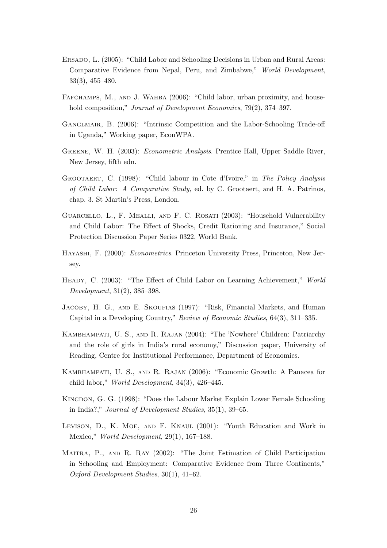- Ersado, L. (2005): "Child Labor and Schooling Decisions in Urban and Rural Areas: Comparative Evidence from Nepal, Peru, and Zimbabwe," World Development, 33(3), 455–480.
- FAFCHAMPS, M., AND J. WAHBA (2006): "Child labor, urban proximity, and household composition," Journal of Development Economics, 79(2), 374–397.
- Ganglmair, B. (2006): "Intrinsic Competition and the Labor-Schooling Trade-off in Uganda," Working paper, EconWPA.
- Greene, W. H. (2003): Econometric Analysis. Prentice Hall, Upper Saddle River, New Jersey, fifth edn.
- Grootaert, C. (1998): "Child labour in Cote d'Ivoire," in The Policy Analysis of Child Labor: A Comparative Study, ed. by C. Grootaert, and H. A. Patrinos, chap. 3. St Martin's Press, London.
- Guarcello, L., F. Mealli, and F. C. Rosati (2003): "Household Vulnerability and Child Labor: The Effect of Shocks, Credit Rationing and Insurance," Social Protection Discussion Paper Series 0322, World Bank.
- Hayashi, F. (2000): Econometrics. Princeton University Press, Princeton, New Jersey.
- Heady, C. (2003): "The Effect of Child Labor on Learning Achievement," World Development, 31(2), 385–398.
- Jacoby, H. G., and E. Skoufias (1997): "Risk, Financial Markets, and Human Capital in a Developing Country," Review of Economic Studies, 64(3), 311–335.
- Kambhampati, U. S., and R. Rajan (2004): "The 'Nowhere' Children: Patriarchy and the role of girls in India's rural economy," Discussion paper, University of Reading, Centre for Institutional Performance, Department of Economics.
- Kambhampati, U. S., and R. Rajan (2006): "Economic Growth: A Panacea for child labor," World Development, 34(3), 426–445.
- Kingdon, G. G. (1998): "Does the Labour Market Explain Lower Female Schooling in India?," Journal of Development Studies, 35(1), 39–65.
- Levison, D., K. Moe, and F. Knaul (2001): "Youth Education and Work in Mexico," World Development, 29(1), 167–188.
- Maitra, P., and R. Ray (2002): "The Joint Estimation of Child Participation in Schooling and Employment: Comparative Evidence from Three Continents," Oxford Development Studies, 30(1), 41–62.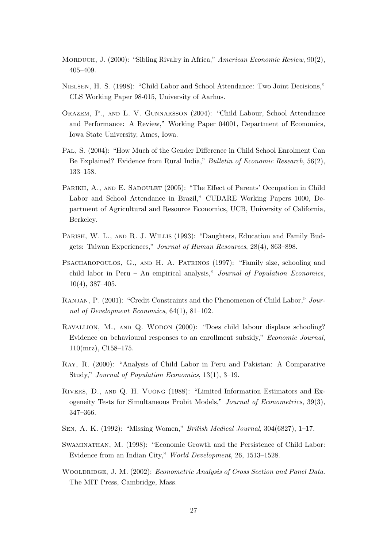- MORDUCH, J. (2000): "Sibling Rivalry in Africa," American Economic Review, 90(2), 405–409.
- Nielsen, H. S. (1998): "Child Labor and School Attendance: Two Joint Decisions," CLS Working Paper 98-015, University of Aarhus.
- Orazem, P., and L. V. Gunnarsson (2004): "Child Labour, School Attendance and Performance: A Review," Working Paper 04001, Department of Economics, Iowa State University, Ames, Iowa.
- Pal, S. (2004): "How Much of the Gender Difference in Child School Enrolment Can Be Explained? Evidence from Rural India," Bulletin of Economic Research, 56(2), 133–158.
- PARIKH, A., AND E. SADOULET (2005): "The Effect of Parents' Occupation in Child Labor and School Attendance in Brazil," CUDARE Working Papers 1000, Department of Agricultural and Resource Economics, UCB, University of California, Berkeley.
- PARISH, W. L., AND R. J. WILLIS (1993): "Daughters, Education and Family Budgets: Taiwan Experiences," Journal of Human Resources, 28(4), 863–898.
- PSACHAROPOULOS, G., AND H. A. PATRINOS (1997): "Family size, schooling and child labor in Peru – An empirical analysis," Journal of Population Economics, 10(4), 387–405.
- Ranjan, P. (2001): "Credit Constraints and the Phenomenon of Child Labor," Journal of Development Economics, 64(1), 81–102.
- Ravallion, M., and Q. Wodon (2000): "Does child labour displace schooling? Evidence on behavioural responses to an enrollment subsidy," Economic Journal, 110(mrz), C158–175.
- Ray, R. (2000): "Analysis of Child Labor in Peru and Pakistan: A Comparative Study," Journal of Population Economics, 13(1), 3–19.
- Rivers, D., and Q. H. Vuong (1988): "Limited Information Estimators and Exogeneity Tests for Simultaneous Probit Models," Journal of Econometrics, 39(3), 347–366.
- Sen, A. K. (1992): "Missing Women," British Medical Journal, 304(6827), 1–17.
- Swaminathan, M. (1998): "Economic Growth and the Persistence of Child Labor: Evidence from an Indian City," World Development, 26, 1513–1528.
- WOOLDRIDGE, J. M. (2002): Econometric Analysis of Cross Section and Panel Data. The MIT Press, Cambridge, Mass.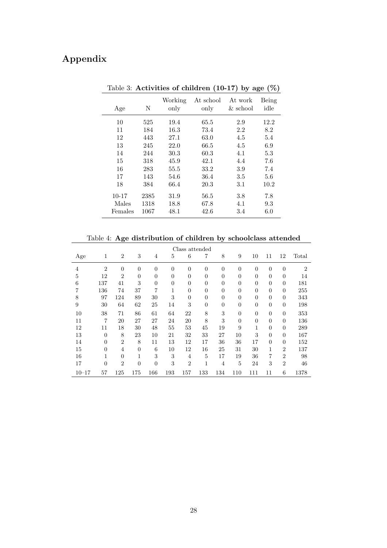# Appendix

| Age       | N    | Working<br>only | At school<br>only | At work<br>$&$ school | Being<br>idle |
|-----------|------|-----------------|-------------------|-----------------------|---------------|
| 10        | 525  | 19.4            | 65.5              | 2.9                   | 12.2          |
| 11        | 184  | 16.3            | 73.4              | 2.2                   | 8.2           |
| 12        | 443  | 27.1            | 63.0              | 4.5                   | 5.4           |
| 13        | 245  | 22.0            | 66.5              | 4.5                   | 6.9           |
| 14        | 244  | 30.3            | 60.3              | 4.1                   | 5.3           |
| 15        | 318  | 45.9            | 42.1              | 4.4                   | 7.6           |
| 16        | 283  | 55.5            | 33.2              | 3.9                   | 7.4           |
| 17        | 143  | 54.6            | 36.4              | 3.5                   | 5.6           |
| 18        | 384  | 66.4            | 20.3              | 3.1                   | 10.2          |
| $10 - 17$ | 2385 | 31.9            | 56.5              | 3.8                   | 7.8           |
| Males     | 1318 | 18.8            | 67.8              | 4.1                   | 9.3           |
| Females   | 1067 | 48.1            | 42.6              | 3.4                   | 6.0           |

Table 3: Activities of children (10-17) by age  $(\%)$ 

Table 4: Age distribution of children by schoolclass attended

| Class attended |                |                |                |                |          |                  |                |                |                |                |                |                |                |
|----------------|----------------|----------------|----------------|----------------|----------|------------------|----------------|----------------|----------------|----------------|----------------|----------------|----------------|
| Age            | 1              | $\overline{2}$ | 3              | $\overline{4}$ | 5        | 6                | 7              | 8              | 9              | 10             | 11             | 12             | Total          |
| $\overline{4}$ | $\overline{2}$ | $\overline{0}$ | $\overline{0}$ | $\overline{0}$ | $\theta$ | $\boldsymbol{0}$ | $\theta$       | $\overline{0}$ | $\overline{0}$ | $\theta$       | $\overline{0}$ | $\overline{0}$ | $\overline{2}$ |
| 5              | 12             | $\overline{2}$ | $\overline{0}$ | $\overline{0}$ | $\theta$ | $\overline{0}$   | $\overline{0}$ | $\overline{0}$ | $\theta$       | $\theta$       | $\overline{0}$ | $\overline{0}$ | 14             |
| 6              | 137            | 41             | 3              | $\overline{0}$ | $\theta$ | $\overline{0}$   | $\theta$       | $\overline{0}$ | $\theta$       | $\overline{0}$ | $\overline{0}$ | $\overline{0}$ | 181            |
| 7              | 136            | 74             | 37             | 7              | 1        | $\overline{0}$   | $\theta$       | $\overline{0}$ | $\theta$       | $\overline{0}$ | $\overline{0}$ | $\overline{0}$ | 255            |
| 8              | 97             | 124            | 89             | 30             | 3        | $\overline{0}$   | $\theta$       | $\overline{0}$ | $\theta$       | $\overline{0}$ | $\overline{0}$ | $\overline{0}$ | 343            |
| 9              | 30             | 64             | 62             | 25             | 14       | 3                | $\theta$       | $\overline{0}$ | $\overline{0}$ | $\overline{0}$ | $\overline{0}$ | $\overline{0}$ | 198            |
| 10             | 38             | 71             | 86             | 61             | 64       | 22               | 8              | 3              | $\theta$       | $\overline{0}$ | $\overline{0}$ | $\overline{0}$ | 353            |
| 11             | 7              | 20             | 27             | 27             | 24       | 20               | 8              | 3              | $\theta$       | $\theta$       | $\theta$       | $\overline{0}$ | 136            |
| 12             | 11             | 18             | 30             | 48             | 55       | 53               | 45             | 19             | 9              | 1              | $\theta$       | $\overline{0}$ | 289            |
| 13             | $\theta$       | 8              | 23             | 10             | 21       | 32               | 33             | 27             | 10             | 3              | $\overline{0}$ | $\overline{0}$ | 167            |
| 14             | $\theta$       | $\overline{2}$ | 8              | 11             | 13       | 12               | 17             | 36             | 36             | 17             | $\overline{0}$ | $\overline{0}$ | 152            |
| 15             | $\theta$       | $\overline{4}$ | $\theta$       | 6              | 10       | 12               | 16             | 25             | 31             | 30             | 1              | $\overline{2}$ | 137            |
| 16             | 1              | $\Omega$       | 1              | 3              | 3        | $\overline{4}$   | $\overline{5}$ | 17             | 19             | 36             | 7              | $\overline{2}$ | 98             |
| 17             | $\theta$       | $\overline{2}$ | $\overline{0}$ | $\overline{0}$ | 3        | $\overline{2}$   | 1              | $\overline{4}$ | 5              | 24             | 3              | $\overline{2}$ | 46             |
| $10 - 17$      | 57             | 125            | 175            | 166            | 193      | 157              | 133            | 134            | 110            | 111            | 11             | 6              | 1378           |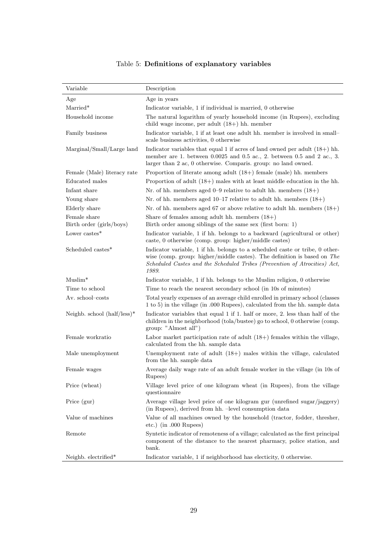# Table 5: Definitions of explanatory variables

| Variable                                 | Description                                                                                                                                                                                                                                      |
|------------------------------------------|--------------------------------------------------------------------------------------------------------------------------------------------------------------------------------------------------------------------------------------------------|
| Age                                      | Age in years                                                                                                                                                                                                                                     |
| $Married*$                               | Indicator variable, 1 if individual is married, 0 otherwise                                                                                                                                                                                      |
| Household income                         | The natural logarithm of yearly household income (in Rupees), excluding<br>child wage income, per adult $(18+)$ hh. member                                                                                                                       |
| Family business                          | Indicator variable, 1 if at least one adult hh. member is involved in small-<br>scale business activities, 0 otherwise                                                                                                                           |
| Marginal/Small/Large land                | Indicator variables that equal 1 if acres of land owned per adult $(18+)$ hh.<br>member are 1. between $0.0025$ and $0.5$ ac., 2. between 0.5 and 2 ac., 3.<br>larger than 2 ac, 0 otherwise. Comparis. group: no land owned.                    |
| Female (Male) literacy rate              | Proportion of literate among adult $(18+)$ female (male) hh. members                                                                                                                                                                             |
| Educated males                           | Proportion of adult $(18+)$ males with at least middle education in the hh.                                                                                                                                                                      |
| Infant share                             | Nr. of hh. members aged 0–9 relative to adult hh. members $(18+)$                                                                                                                                                                                |
| Young share                              | Nr. of hh. members aged $10-17$ relative to adult hh. members $(18+)$                                                                                                                                                                            |
| Elderly share                            | Nr. of hh. members aged 67 or above relative to adult hh. members $(18+)$                                                                                                                                                                        |
| Female share<br>Birth order (girls/boys) | Share of females among adult hh. members $(18+)$<br>Birth order among siblings of the same sex (first born: 1)                                                                                                                                   |
| Lower castes*                            | Indicator variable, 1 if hh. belongs to a backward (agricultural or other)<br>caste, 0 otherwise (comp. group: higher/middle castes)                                                                                                             |
| Scheduled castes*                        | Indicator variable, 1 if hh. belongs to a scheduled caste or tribe, 0 other-<br>wise (comp. group: higher/middle castes). The definition is based on $The$<br>Scheduled Castes and the Scheduled Tribes (Prevention of Atrocities) Act,<br>1989. |
| $Muslim*$                                | Indicator variable, 1 if hh. belongs to the Muslim religion, 0 otherwise                                                                                                                                                                         |
| Time to school                           | Time to reach the nearest secondary school (in 10s of minutes)                                                                                                                                                                                   |
| Av. school-costs                         | Total yearly expenses of an average child enrolled in primary school (classes<br>1 to 5) in the village (in .000 Rupees), calculated from the hh. sample data                                                                                    |
| Neighb. school $(half/less)^*$           | Indicator variables that equal 1 if 1. half or more, 2. less than half of the<br>children in the neighborhood (tola/bustee) go to school, 0 otherwise (comp.<br>group: "Almost all")                                                             |
| Female workratio                         | Labor market participation rate of adult $(18+)$ females within the village,<br>calculated from the hh. sample data                                                                                                                              |
| Male unemployment                        | Unemployment rate of adult $(18+)$ males within the village, calculated<br>from the hh. sample data                                                                                                                                              |
| Female wages                             | Average daily wage rate of an adult female worker in the village (in 10s of<br>Rupees)                                                                                                                                                           |
| Price (wheat)                            | Village level price of one kilogram wheat (in Rupees), from the village<br>questionnaire                                                                                                                                                         |
| Price (gur)                              | Average village level price of one kilogram gur (unrefined sugar/jaggery)<br>(in Rupees), derived from hh. -level consumption data                                                                                                               |
| Value of machines                        | Value of all machines owned by the household (tractor, fodder, thresher,<br>$etc.$ ) (in .000 Rupees)                                                                                                                                            |
| Remote                                   | Syntetic indicator of remoteness of a village; calculated as the first principal<br>component of the distance to the nearest pharmacy, police station, and<br>bank.                                                                              |
| Neighb. electrified*                     | Indicator variable, 1 if neighborhood has electicity, 0 otherwise.                                                                                                                                                                               |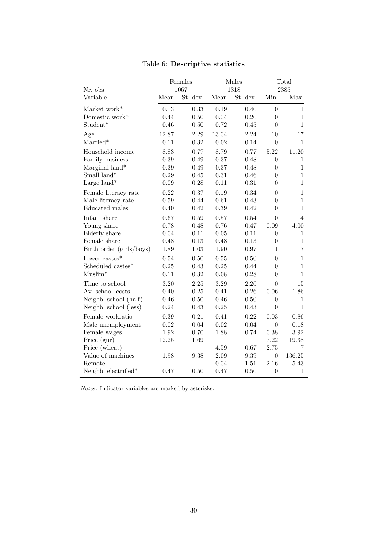| Nr. obs                  |       | Females<br>1067 |          | Males<br>1318 |                  | Total<br>2385  |
|--------------------------|-------|-----------------|----------|---------------|------------------|----------------|
| Variable                 | Mean  | St. dev.        | Mean     | St. dev.      | Min.             | Max.           |
| Market work*             | 0.13  | 0.33            | 0.19     | 0.40          | $\overline{0}$   | $\mathbf{1}$   |
| Domestic work*           | 0.44  | 0.50            | 0.04     | 0.20          | $\overline{0}$   | $\mathbf{1}$   |
| Student*                 | 0.46  | 0.50            | 0.72     | 0.45          | $\overline{0}$   | $\mathbf{1}$   |
| Age                      | 12.87 | 2.29            | 13.04    | 2.24          | 10               | 17             |
| $Married*$               | 0.11  | 0.32            | 0.02     | 0.14          | $\overline{0}$   | 1              |
| Household income         | 8.83  | 0.77            | 8.79     | 0.77          | 5.22             | 11.20          |
| Family business          | 0.39  | 0.49            | 0.37     | 0.48          | $\overline{0}$   | 1              |
| Marginal land*           | 0.39  | 0.49            | 0.37     | 0.48          | $\overline{0}$   | $\overline{1}$ |
| Small land*              | 0.29  | 0.45            | 0.31     | 0.46          | $\theta$         | $\mathbf{1}$   |
| Large land*              | 0.09  | 0.28            | 0.11     | 0.31          | $\theta$         | $\mathbf{1}$   |
| Female literacy rate     | 0.22  | 0.37            | 0.19     | 0.34          | $\overline{0}$   | $\mathbf 1$    |
| Male literacy rate       | 0.59  | 0.44            | 0.61     | 0.43          | $\theta$         | 1              |
| Educated males           | 0.40  | 0.42            | 0.39     | 0.42          | $\theta$         | $\mathbf{1}$   |
| Infant share             | 0.67  | 0.59            | 0.57     | 0.54          | $\theta$         | 4              |
| Young share              | 0.78  | 0.48            | 0.76     | 0.47          | 0.09             | 4.00           |
| Elderly share            | 0.04  | 0.11            | 0.05     | 0.11          | $\boldsymbol{0}$ | 1              |
| Female share             | 0.48  | 0.13            | 0.48     | 0.13          | $\overline{0}$   | $\mathbf{1}$   |
| Birth order (girls/boys) | 1.89  | 1.03            | 1.90     | 0.97          | 1                | 7              |
| Lower castes $*$         | 0.54  | 0.50            | 0.55     | 0.50          | $\overline{0}$   | 1              |
| Scheduled castes*        | 0.25  | 0.43            | 0.25     | 0.44          | $\overline{0}$   | $\overline{1}$ |
| $Muslim*$                | 0.11  | 0.32            | 0.08     | 0.28          | $\theta$         | 1              |
| Time to school           | 3.20  | 2.25            | 3.29     | 2.26          | $\theta$         | 15             |
| Av. school-costs         | 0.40  | 0.25            | 0.41     | 0.26          | 0.06             | 1.86           |
| Neighb. school (half)    | 0.46  | 0.50            | 0.46     | 0.50          | $\overline{0}$   | 1              |
| Neighb. school (less)    | 0.24  | 0.43            | 0.25     | 0.43          | $\overline{0}$   | $\mathbf{1}$   |
| Female workratio         | 0.39  | 0.21            | 0.41     | 0.22          | 0.03             | 0.86           |
| Male unemployment        | 0.02  | 0.04            | $\,0.02$ | 0.04          | $\boldsymbol{0}$ | 0.18           |
| Female wages             | 1.92  | 0.70            | 1.88     | 0.74          | 0.38             | 3.92           |
| Price (gur)              | 12.25 | 1.69            |          |               | 7.22             | 19.38          |
| Price (wheat)            |       |                 | 4.59     | 0.67          | 2.75             | 7              |
| Value of machines        | 1.98  | 9.38            | $2.09\,$ | 9.39          | $\overline{0}$   | 136.25         |
| Remote                   |       |                 | 0.04     | 1.51          | $-2.16$          | 5.43           |
| Neighb. electrified*     | 0.47  | 0.50            | 0.47     | 0.50          | $\overline{0}$   | 1              |

Table 6: Descriptive statistics

Notes: Indicator variables are marked by asterisks.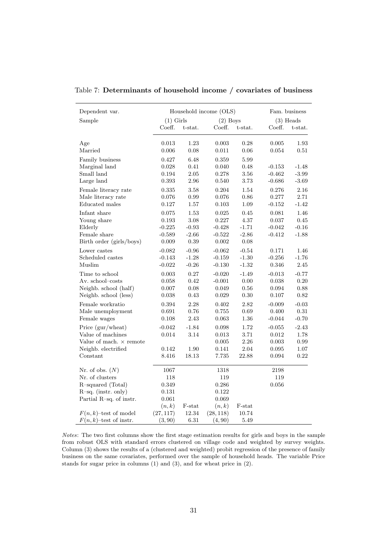| Dependent var.                 |             |            | Household income (OLS) |          |             | Fam. business |
|--------------------------------|-------------|------------|------------------------|----------|-------------|---------------|
| Sample                         | $(1)$ Girls |            | $(2)$ Boys             |          |             | $(3)$ Heads   |
|                                | Coeff.      | t-stat.    | Coeff.                 | t-stat.  | Coeff.      | t-stat.       |
| Age                            | 0.013       | 1.23       | 0.003                  | 0.28     | 0.005       | 1.93          |
| Married                        | 0.006       | 0.08       | 0.011                  | 0.06     | 0.054       | 0.51          |
| Family business                | 0.427       | 6.48       | 0.359                  | 5.99     |             |               |
| Marginal land                  | 0.028       | 0.41       | 0.040                  | 0.48     | $-0.153$    | $-1.48$       |
| Small land                     | 0.194       | $2.05\,$   | 0.278                  | $3.56\,$ | $-0.462$    | $-3.99$       |
| Large land                     | 0.393       | 2.96       | 0.540                  | 3.73     | $-0.686$    | $-3.69$       |
| Female literacy rate           | 0.335       | 3.58       | 0.204                  | 1.54     | 0.276       | 2.16          |
| Male literacy rate             | 0.076       | 0.99       | 0.076                  | 0.86     | 0.277       | 2.71          |
| Educated males                 | 0.127       | 1.57       | 0.103                  | 1.09     | $-0.152$    | $-1.42$       |
| Infant share                   | 0.075       | 1.53       | 0.025                  | 0.45     | 0.081       | 1.46          |
| Young share                    | 0.193       | 3.08       | 0.227                  | 4.37     | 0.037       | 0.45          |
| Elderly                        | $-0.225$    | $-0.93$    | $-0.428$               | $-1.71$  | $-0.042$    | $-0.16$       |
| Female share                   | $-0.589$    | $-2.66$    | $-0.522$               | $-2.86$  | $-0.412$    | $-1.88$       |
| Birth order (girls/boys)       | 0.009       | $0.39\,$   | 0.002                  | $0.08\,$ |             |               |
| Lower castes                   | $-0.082$    | $-0.96$    | $-0.062$               | $-0.54$  | 0.171       | 1.46          |
| Scheduled castes               | $-0.143$    | $-1.28$    | $-0.159$               | $-1.30$  | $-0.256$    | $-1.76$       |
| Muslim                         | $-0.022$    | $-0.26$    | $-0.130$               | $-1.32$  | 0.346       | 2.45          |
| Time to school                 | 0.003       | 0.27       | $-0.020$               | $-1.49$  | $-0.013$    | $-0.77$       |
| Av. school-costs               | 0.058       | 0.42       | $-0.001$               | 0.00     | 0.038       | 0.20          |
| Neighb. school (half)          | $0.007\,$   | 0.08       | 0.049                  | 0.56     | 0.094       | 0.88          |
| Neighb. school (less)          | 0.038       | $\rm 0.43$ | 0.029                  | $0.30\,$ | 0.107       | 0.82          |
| Female workratio               | 0.394       | 2.28       | 0.402                  | 2.82     | $-0.009$    | $-0.03$       |
| Male unemployment              | 0.691       | 0.76       | 0.755                  | 0.69     | 0.400       | $\rm 0.31$    |
| Female wages                   | 0.108       | 2.43       | 0.063                  | $1.36\,$ | $-0.044$    | $-0.70$       |
| Price (gur/wheat)              | $-0.042$    | $-1.84$    | 0.098                  | 1.72     | $-0.055$    | $-2.43$       |
| Value of machines              | 0.014       | 3.14       | 0.013                  | 3.71     | $\,0.012\,$ | 1.78          |
| Value of mach. $\times$ remote |             |            | 0.005                  | 2.26     | 0.003       | 0.99          |
| Neighb. electrified            | 0.142       | 1.90       | 0.141                  | 2.04     | 0.095       | 1.07          |
| Constant                       | 8.416       | 18.13      | 7.735                  | 22.88    | 0.094       | 0.22          |
| Nr. of obs. $(N)$              | 1067        |            | 1318                   |          | 2198        |               |
| Nr. of clusters                | 118         |            | 119                    |          | 119         |               |
| R-squared (Total)              | 0.349       |            | 0.286                  |          | $0.056\,$   |               |
| $R$ -sq. (instr. only)         | $\rm 0.131$ |            | 0.122                  |          |             |               |
| Partial R-sq. of instr.        | 0.061       |            | 0.069                  |          |             |               |
|                                | (n,k)       | F-stat     | (n,k)                  | F-stat   |             |               |
| $F(n, k)$ -test of model       | (27, 117)   | 12.34      | (28, 118)              | 10.74    |             |               |
| $F(n, k)$ -test of instr.      | (3, 90)     | $6.31\,$   | (4, 90)                | 5.49     |             |               |

Table 7: Determinants of household income / covariates of business

Notes: The two first columns show the first stage estimation results for girls and boys in the sample from robust OLS with standard errors clustered on village code and weighted by survey weights. Column (3) shows the results of a (clustered and weighted) probit regression of the presence of family business on the same covariates, performed over the sample of household heads. The variable Price stands for sugar price in columns (1) and (3), and for wheat price in (2).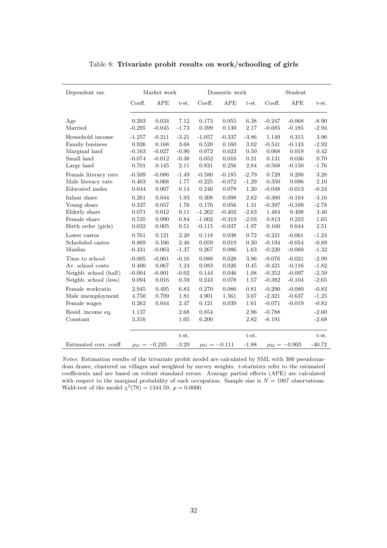| Dependent var.                |                | Market work          |                  |                      | Domestic work |                  |                      | Student              |                     |
|-------------------------------|----------------|----------------------|------------------|----------------------|---------------|------------------|----------------------|----------------------|---------------------|
|                               | Coeff.         | APE                  | t-st.            | Coeff.               | APE           | t-st.            | Coeff.               | <b>APE</b>           | t-st.               |
| Age                           | 0.203          | 0.034                | 7.12             | 0.173                | 0.055         | 6.38             | $-0.247$             | $-0.068$             | $-8.90$             |
| Married                       | $-0.295$       | $-0.045$             | $-1.73$          | 0.399                | 0.130         | 2.17             | $-0.685$             | $-0.185$             | $-2.94$             |
| Household income              | $-1.257$       | $-0.211$             | $-3.21$          | $-1.057$             | $-0.337$      | $-3.86$          | 1.149                | 0.315                | 3.90                |
| Family business               | 0.926          | 0.168                | 3.68             | 0.520                | 0.160         | 3.02             | $-0.541$             | $-0.143$             | $-2.92$             |
| Marginal land                 | $-0.163$       | $-0.027$             | $-0.90$          | 0.072                | 0.023         | 0.50             | 0.068                | 0.019                | 0.42                |
| Small land                    | $-0.074$       | $-0.012$             | $-0.38$          | 0.052                | 0.016         | 0.31             | 0.131                | 0.036                | 0.70                |
| Large land                    | 0.701          | 0.145                | 2.11             | 0.831                | 0.256         | 2.84             | $-0.568$             | $-0.150$             | $-1.76$             |
| Female literacy rate          | $-0.509$       | $-0.086$             | $-1.49$          | $-0.580$             | $-0.185$      | $-2.79$          | 0.729                | 0.200                | 3.28                |
| Male literacy rate            | 0.403          | 0.068                | 1.77             | $-0.225$             | $-0.072$      | $-1.29$          | 0.350                | 0.096                | 2.10                |
| Educated males                | 0.044          | 0.007                | 0.14             | 0.246                | 0.078         | $1.20\,$         | $-0.048$             | $-0.013$             | $-0.24$             |
| Infant share                  | 0.261          | 0.044                | 1.93             | 0.308                | 0.098         | 2.62             | $-0.380$             | $-0.104$             | $-3.16$             |
| Young share                   | 0.337          | 0.057                | 1.76             | 0.176                | 0.056         | 1.31             | $-0.397$             | $-0.109$             | $-2.78$             |
| Elderly share                 | 0.071          | 0.012                | 0.11             | $-1.262$             | $-0.402$      | $-2.63$          | 1.484                | 0.408                | $3.40\,$            |
| Female share                  | 0.535          | 0.090                | 0.84             | $-1.002$             | $-0.319$      | $-2.03$          | 0.813                | 0.223                | 1.65                |
| Birth order (girls)           | 0.032          | 0.005                | 0.51             | $-0.115$             | $-0.037$      | $-1.97$          | 0.160                | 0.044                | 2.51                |
| Lower castes                  | 0.761          | 0.121                | 2.20             | 0.118                | 0.038         | 0.72             | $-0.221$             | $-0.061$             | $-1.24$             |
| Scheduled castes              | 0.869          | 0.166                | 2.46             | 0.059                | 0.019         | $0.30\,$         | $-0.194$             | $-0.054$             | $-0.89$             |
| Muslim                        | $-0.431$       | $-0.063$             | $-1.37$          | 0.267                | 0.086         | 1.63             | $-0.220$             | $-0.060$             | $-1.32$             |
| Time to school                | $-0.005$       | $-0.001$             | $-0.16$          | 0.088                | 0.028         | 3.96             | $-0.076$             | $-0.021$             | $-2.99$             |
| Av. school-costs              | 0.400          | 0.067                | $1.24\,$         | 0.083                | $0.026\,$     | $0.45\,$         | $-0.421$             | $-0.116$             | $-1.82$             |
| Neighb. school (half)         | $-0.004$       | $-0.001$             | $-0.02$          | 0.144                | 0.046         | 1.08             | $-0.352$             | $-0.097$             | $-2.59$             |
| Neighb. school (less)         | 0.094          | 0.016                | 0.59             | 0.243                | 0.078         | 1.57             | $-0.382$             | $-0.104$             | $-2.65$             |
| Female workratio              | 2.945          | 0.495                | 6.83             | 0.270                | 0.086         | 0.81             | $-0.290$             | $-0.080$             | $-0.83$             |
| Male unemployment             | 4.750          | 0.799                | 1.81             | 4.901                | 1.561         | 3.07             | $-2.321$             | $-0.637$             | $-1.25$             |
| Female wages                  | 0.262          | 0.044                | 2.47             | 0.121                | 0.039         | 1.61             | $-0.071$             | $-0.019$             | $-0.82$             |
| Resid. income eq.<br>Constant | 1.137<br>3.316 |                      | 2.68<br>1.05     | 0.854<br>6.200       |               | 2.96<br>2.82     | $-0.788$<br>$-6.191$ |                      | $-2.60$<br>$-2.68$  |
| Estimated corr. coeff.        |                | $\rho_{21} = -0.235$ | t-st.<br>$-3.29$ | $\rho_{31} = -0.111$ |               | t-st.<br>$-1.88$ |                      | $\rho_{32} = -0.903$ | $t-st.$<br>$-40.72$ |

Table 8: Trivariate probit results on work/schooling of girls

Notes: Estimation results of the trivariate probit model are calculated by SML with 300 pseudorandom draws, clustered on villages and weighted by survey weights. t-statistics refer to the estimated coefficients and are based on robust standard errors. Avarage partial effects (APE) are calculated with respect to the marginal probability of each occupation. Sample size is  $N = 1067$  observations. Wald-test of the model  $\chi^2(78) = 1344.59$ ,  $p = 0.0000$ .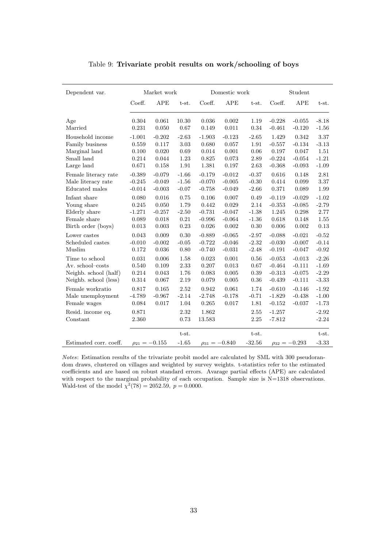| Dependent var.         |                | Market work          |               |                | Domestic work        |              |                      | Student              |                    |
|------------------------|----------------|----------------------|---------------|----------------|----------------------|--------------|----------------------|----------------------|--------------------|
|                        | Coeff.         | APE                  | t-st.         | Coeff.         | APE                  | t-st.        | Coeff.               | $_{\rm APE}$         | $t-st.$            |
| Age<br>Married         | 0.304<br>0.231 | 0.061<br>0.050       | 10.30<br>0.67 | 0.036<br>0.149 | 0.002<br>0.011       | 1.19<br>0.34 | $-0.228$<br>$-0.461$ | $-0.055$<br>$-0.120$ | $-8.18$<br>$-1.56$ |
| Household income       | $-1.001$       | $-0.202$             | $-2.63$       | $-1.903$       | $-0.123$             | $-2.65$      | 1.429                | 0.342                | 3.37               |
| Family business        | 0.559          | 0.117                | 3.03          | 0.680          | 0.057                | 1.91         | $-0.557$             | $-0.134$             | $-3.13$            |
| Marginal land          | 0.100          | 0.020                | 0.69          | 0.014          | 0.001                | 0.06         | 0.197                | 0.047                | 1.51               |
| Small land             | 0.214          | 0.044                | 1.23          | 0.825          | 0.073                | 2.89         | $-0.224$             | $-0.054$             | $-1.21$            |
| Large land             | 0.671          | $0.158\,$            | $1.91\,$      | 1.381          | 0.197                | 2.63         | $-0.368$             | $-0.093$             | $-1.09$            |
| Female literacy rate   | $-0.389$       | $-0.079$             | $-1.66$       | $-0.179$       | $-0.012$             | $-0.37$      | 0.616                | 0.148                | 2.81               |
| Male literacy rate     | $-0.245$       | $-0.049$             | $-1.56$       | $-0.070$       | $-0.005$             | $-0.30$      | 0.414                | $\,0.099\,$          | 3.37               |
| Educated males         | $-0.014$       | $-0.003$             | $-0.07$       | $-0.758$       | $-0.049$             | $-2.66$      | 0.371                | 0.089                | 1.99               |
| Infant share           | 0.080          | 0.016                | 0.75          | 0.106          | 0.007                | 0.49         | $-0.119$             | $-0.029$             | $-1.02$            |
| Young share            | 0.245          | 0.050                | 1.79          | 0.442          | 0.029                | 2.14         | $-0.353$             | $-0.085$             | $-2.79$            |
| Elderly share          | $-1.271$       | $-0.257$             | $-2.50$       | $-0.731$       | $-0.047$             | $-1.38$      | 1.245                | 0.298                | 2.77               |
| Female share           | 0.089          | 0.018                | $\rm 0.21$    | $-0.996$       | $-0.064$             | $-1.36$      | $0.618\,$            | 0.148                | 1.55               |
| Birth order (boys)     | 0.013          | 0.003                | 0.23          | 0.026          | 0.002                | 0.30         | 0.006                | 0.002                | $0.13\,$           |
| Lower castes           | 0.043          | 0.009                | 0.30          | $-0.889$       | $-0.065$             | $-2.97$      | $-0.088$             | $-0.021$             | $-0.52$            |
| Scheduled castes       | $-0.010$       | $-0.002$             | $-0.05$       | $-0.722$       | $-0.046$             | $-2.32$      | $-0.030$             | $-0.007$             | $-0.14$            |
| Muslim                 | 0.172          | 0.036                | 0.80          | $-0.740$       | $-0.031$             | $-2.48$      | $-0.191$             | $-0.047$             | $-0.92$            |
| Time to school         | 0.031          | 0.006                | 1.58          | 0.023          | 0.001                | 0.56         | $-0.053$             | $-0.013$             | $-2.26$            |
| Av. school-costs       | 0.540          | 0.109                | 2.33          | 0.207          | 0.013                | 0.67         | $-0.464$             | $-0.111$             | $-1.69$            |
| Neighb. school (half)  | 0.214          | 0.043                | 1.76          | 0.083          | 0.005                | 0.39         | $-0.313$             | $-0.075$             | $-2.29$            |
| Neighb. school (less)  | $0.314\,$      | 0.067                | 2.19          | 0.079          | 0.005                | $0.36\,$     | $-0.439$             | $-0.111$             | $-3.33$            |
| Female workratio       | 0.817          | 0.165                | 2.52          | 0.942          | 0.061                | 1.74         | $-0.610$             | $-0.146$             | $-1.92$            |
| Male unemployment      | $-4.789$       | $-0.967$             | $-2.14$       | $-2.748$       | $-0.178$             | $-0.71$      | $-1.829$             | $-0.438$             | $-1.00$            |
| Female wages           | 0.084          | 0.017                | 1.04          | 0.265          | 0.017                | $1.81\,$     | $-0.152$             | $-0.037$             | $-1.73$            |
| Resid. income eq.      | 0.871          |                      | 2.32          | 1.862          |                      | 2.55         | $-1.257$             |                      | $-2.92$            |
| Constant               | 2.360          |                      | 0.73          | 13.583         |                      | $2.25\,$     | $-7.812$             |                      | $-2.24$            |
|                        |                |                      | t-st.         |                |                      | t-st.        |                      |                      | t-st.              |
| Estimated corr. coeff. |                | $\rho_{21} = -0.155$ | $-1.65$       |                | $\rho_{31} = -0.840$ | $-32.56$     |                      | $\rho_{32} = -0.293$ | $-3.33$            |

Table 9: Trivariate probit results on work/schooling of boys

Notes: Estimation results of the trivariate probit model are calculated by SML with 300 pseudorandom draws, clustered on villages and weighted by survey weights. t-statistics refer to the estimated coefficients and are based on robust standard errors. Avarage partial effects (APE) are calculated with respect to the marginal probability of each occupation. Sample size is  $N=1318$  observations. Wald-test of the model  $\chi^2(78) = 2052.59$ ,  $p = 0.0000$ .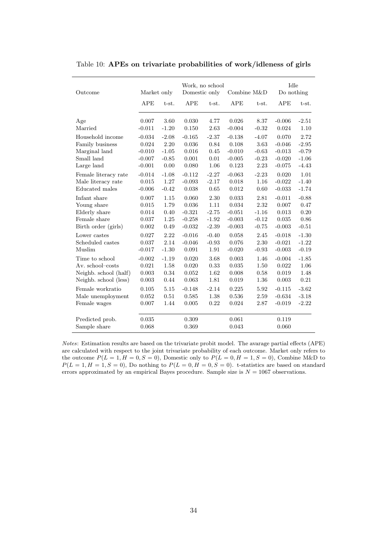| Outcome                         | Market only    |         | Domestic only  | Work, no school | Combine M&D    |          | Idle<br>Do nothing |         |
|---------------------------------|----------------|---------|----------------|-----------------|----------------|----------|--------------------|---------|
|                                 | APE            | t-st.   | APE            | t-st.           | APE            | t-st.    | APE                | t-st.   |
| Age                             | 0.007          | 3.60    | 0.030          | 4.77            | 0.026          | 8.37     | $-0.006$           | $-2.51$ |
| Married                         | $-0.011$       | $-1.20$ | 0.150          | 2.63            | $-0.004$       | $-0.32$  | 0.024              | 1.10    |
| Household income                | $-0.034$       | $-2.08$ | $-0.165$       | $-2.37$         | $-0.138$       | $-4.07$  | 0.070              | 2.72    |
| Family business                 | 0.024          | 2.20    | 0.036          | 0.84            | 0.108          | 3.63     | $-0.046$           | $-2.95$ |
| Marginal land                   | $-0.010$       | $-1.05$ | 0.016          | 0.45            | $-0.010$       | $-0.63$  | $-0.013$           | $-0.79$ |
| Small land                      | $-0.007$       | $-0.85$ | 0.001          | 0.01            | $-0.005$       | $-0.23$  | $-0.020$           | $-1.06$ |
| Large land                      | $-0.001$       | 0.00    | 0.080          | 1.06            | 0.123          | 2.23     | $-0.075$           | $-4.43$ |
| Female literacy rate            | $-0.014$       | $-1.08$ | $-0.112$       | $-2.27$         | $-0.063$       | $-2.23$  | 0.020              | 1.01    |
| Male literacy rate              | 0.015          | 1.27    | $-0.093$       | $-2.17$         | 0.018          | 1.16     | $-0.022$           | $-1.40$ |
| Educated males                  | $-0.006$       | $-0.42$ | 0.038          | 0.65            | 0.012          | 0.60     | $-0.033$           | $-1.74$ |
| Infant share                    | 0.007          | 1.15    | 0.060          | 2.30            | 0.033          | 2.81     | $-0.011$           | $-0.88$ |
| Young share                     | 0.015          | 1.79    | 0.036          | 1.11            | 0.034          | 2.32     | 0.007              | 0.47    |
| Elderly share                   | 0.014          | 0.40    | $-0.321$       | $-2.75$         | $-0.051$       | $-1.16$  | 0.013              | 0.20    |
| Female share                    | 0.037          | 1.25    | $-0.258$       | $-1.92$         | $-0.003$       | $-0.12$  | 0.035              | 0.86    |
| Birth order (girls)             | 0.002          | 0.49    | $-0.032$       | $-2.39$         | $-0.003$       | $-0.75$  | $-0.003$           | $-0.51$ |
| Lower castes                    | 0.027          | 2.22    | $-0.016$       | $-0.40$         | 0.058          | 2.45     | $-0.018$           | $-1.30$ |
| Scheduled castes                | 0.037          | 2.14    | $-0.046$       | $-0.93$         | 0.076          | 2.30     | $-0.021$           | $-1.22$ |
| Muslim                          | $-0.017$       | $-1.30$ | 0.091          | 1.91            | $-0.020$       | $-0.93$  | $-0.003$           | $-0.19$ |
| Time to school                  | $-0.002$       | $-1.19$ | 0.020          | 3.68            | 0.003          | 1.46     | $-0.004$           | $-1.85$ |
| Av. school-costs                | 0.021          | 1.58    | 0.020          | 0.33            | 0.035          | 1.50     | 0.022              | 1.06    |
| Neighb. school (half)           | 0.003          | 0.34    | 0.052          | 1.62            | 0.008          | $0.58\,$ | 0.019              | 1.48    |
| Neighb. school (less)           | 0.003          | 0.44    | 0.063          | 1.81            | 0.019          | 1.36     | 0.003              | 0.21    |
| Female workratio                | 0.105          | 5.15    | $-0.148$       | $-2.14$         | 0.225          | 5.92     | $-0.115$           | $-3.62$ |
| Male unemployment               | 0.052          | 0.51    | 0.585          | 1.38            | 0.536          | 2.59     | $-0.634$           | $-3.18$ |
| Female wages                    | 0.007          | 1.44    | 0.005          | 0.22            | 0.024          | 2.87     | $-0.019$           | $-2.22$ |
| Predicted prob.<br>Sample share | 0.035<br>0.068 |         | 0.309<br>0.369 |                 | 0.061<br>0.043 |          | 0.119<br>0.060     |         |

Table 10: APEs on trivariate probabilities of work/idleness of girls

Notes: Estimation results are based on the trivariate probit model. The avarage partial effects (APE) are calculated with respect to the joint trivariate probability of each outcome. Market only refers to the outcome  $P(L = 1, H = 0, S = 0)$ , Domestic only to  $P(L = 0, H = 1, S = 0)$ , Combine M&D to  $P(L = 1, H = 1, S = 0)$ , Do nothing to  $P(L = 0, H = 0, S = 0)$ . t-statistics are based on standard errors approximated by an empirical Bayes procedure. Sample size is  $N = 1067$  observations.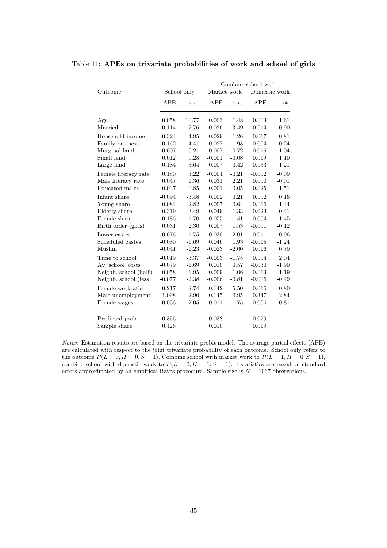|                       |          |             |             |                 | Combine school with |              |
|-----------------------|----------|-------------|-------------|-----------------|---------------------|--------------|
| Outcome               |          | School only | Market work |                 | Domestic work       |              |
|                       | APE      | t-st.       | <b>APE</b>  | t-st.           | APE                 | t-st.        |
| Age<br>Married        | $-0.058$ | $-10.77$    | 0.003       | 1.48            | $-0.003$            | $-1.61$      |
|                       | $-0.114$ | $-2.76$     | $-0.026$    | $-3.49$         | $-0.014$            | $-0.90$      |
| Household income      | 0.324    | 4.95        | $-0.029$    | $-1.26$         | $-0.017$            | $-0.81$      |
| Family business       | $-0.162$ | $-4.41$     | 0.027       | 1.93            | 0.004               | 0.24         |
| Marginal land         | 0.007    | 0.21        | $-0.007$    | $-0.72$         | 0.016               | 1.04         |
| Small land            | 0.012    | 0.28        | $-0.001$    | $-0.08$<br>0.42 | 0.019               | 1.10<br>1.21 |
| Large land            | $-0.184$ | $-3.64$     | 0.007       |                 | 0.033               |              |
| Female literacy rate  | 0.180    | 3.22        | $-0.004$    | $-0.21$         | $-0.002$            | $-0.09$      |
| Male literacy rate    | 0.047    | 1.36        | 0.031       | 2.21            | 0.000               | $-0.01$      |
| Educated males        | $-0.037$ | $-0.85$     | $-0.001$    | $-0.05$         | 0.025               | 1.51         |
| Infant share          | $-0.094$ | $-3.48$     | 0.002       | 0.21            | 0.002               | 0.16         |
| Young share           | $-0.084$ | $-2.82$     | 0.007       | 0.64            | $-0.016$            | $-1.44$      |
| Elderly share         | 0.319    | 3.49        | 0.049       | 1.33            | $-0.023$            | $-0.41$      |
| Female share          | 0.186    | 1.70        | 0.055       | 1.41            | $-0.054$            | $-1.45$      |
| Birth order (girls)   | 0.031    | 2.30        | 0.007       | 1.53            | $-0.001$            | $-0.12$      |
| Lower castes          | $-0.076$ | $-1.75$     | 0.030       | 2.01            | $-0.011$            | $-0.96$      |
| Scheduled castes      | $-0.080$ | $-1.69$     | 0.046       | 1.93            | $-0.018$            | $-1.24$      |
| Muslim                | $-0.041$ | $-1.23$     | $-0.023$    | $-2.00$         | 0.016               | 0.79         |
| Time to school        | $-0.019$ | $-3.37$     | $-0.003$    | $-1.75$         | 0.004               | 2.04         |
| Av. school-costs      | $-0.079$ | $-1.69$     | 0.010       | 0.57            | $-0.030$            | $-1.90$      |
| Neighb. school (half) | $-0.058$ | $-1.95$     | $-0.009$    | $-1.06$         | $-0.013$            | $-1.19$      |
| Neighb. school (less) | $-0.077$ | $-2.38$     | $-0.006$    | $-0.81$         | $-0.006$            | $-0.49$      |
| Female workratio      | $-0.217$ | $-2.74$     | 0.142       | 5.50            | $-0.016$            | $-0.80$      |
| Male unemployment     | $-1.098$ | $-2.90$     | 0.145       | 0.95            | 0.347               | 2.84         |
| Female wages          | $-0.036$ | $-2.05$     | 0.011       | 1.75            | 0.006               | 0.81         |
| Predicted prob.       | 0.356    |             | 0.038       |                 | 0.079               |              |
| Sample share          | 0.426    |             | 0.010       |                 | 0.019               |              |

Table 11: APEs on trivariate probabilities of work and school of girls

Notes: Estimation results are based on the trivariate probit model. The avarage partial effects (APE) are calculated with respect to the joint trivariate probability of each outcome. School only refers to the outcome  $P(L = 0, H = 0, S = 1)$ , Combine school with market work to  $P(L = 1, H = 0, S = 1)$ , combine school with domestic work to  $P(L = 0, H = 1, S = 1)$ . t-statistics are based on standard errors approximated by an empirical Bayes procedure. Sample size is  $N = 1067$  observations.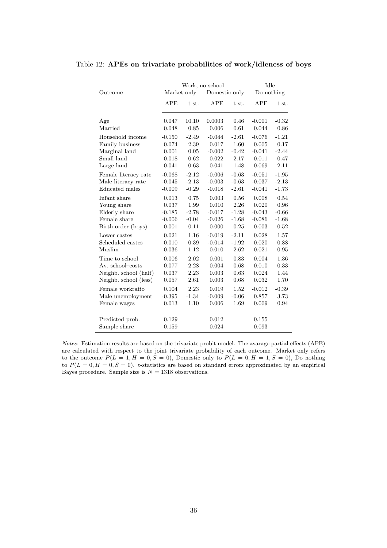| Outcome               | Market only    |               | Work, no school<br>Domestic only |              | Idle<br>Do nothing |                 |
|-----------------------|----------------|---------------|----------------------------------|--------------|--------------------|-----------------|
|                       | <b>APE</b>     | t-st.         | <b>APE</b>                       | $t-st.$      | APE                | t-st.           |
| Age<br>Married        | 0.047<br>0.048 | 10.10<br>0.85 | 0.0003<br>0.006                  | 0.46<br>0.61 | $-0.001$<br>0.044  | $-0.32$<br>0.86 |
| Household income      | $-0.150$       | $-2.49$       | $-0.044$                         | $-2.61$      | $-0.076$           | $-1.21$         |
| Family business       | 0.074          | 2.39          | 0.017                            | 1.60         | 0.005              | 0.17            |
| Marginal land         | 0.001          | $0.05\,$      | $-0.002$                         | $-0.42$      | $-0.041$           | $-2.44$         |
| Small land            | 0.018          | 0.62          | 0.022                            | 2.17         | $-0.011$           | $-0.47$         |
| Large land            | 0.041          | 0.63          | 0.041                            | 1.48         | $-0.069$           | $-2.11$         |
| Female literacy rate  | $-0.068$       | $-2.12$       | $-0.006$                         | $-0.63$      | $-0.051$           | $-1.95$         |
| Male literacy rate    | $-0.045$       | $-2.13$       | $-0.003$                         | $-0.63$      | $-0.037$           | $-2.13$         |
| Educated males        | $-0.009$       | $-0.29$       | $-0.018$                         | $-2.61$      | $-0.041$           | $-1.73$         |
| Infant share          | 0.013          | 0.75          | 0.003                            | 0.56         | 0.008              | 0.54            |
| Young share           | 0.037          | 1.99          | 0.010                            | 2.26         | 0.020              | 0.96            |
| Elderly share         | $-0.185$       | $-2.78$       | $-0.017$                         | $-1.28$      | $-0.043$           | $-0.66$         |
| Female share          | $-0.006$       | $-0.04$       | $-0.026$                         | $-1.68$      | $-0.086$           | $-1.68$         |
| Birth order (boys)    | 0.001          | 0.11          | 0.000                            | 0.25         | $-0.003$           | $-0.52$         |
| Lower castes          | $\,0.021\,$    | 1.16          | $-0.019$                         | $-2.11$      | 0.028              | 1.57            |
| Scheduled castes      | 0.010          | 0.39          | $-0.014$                         | $-1.92$      | 0.020              | 0.88            |
| Muslim                | 0.036          | 1.12          | $-0.010$                         | $-2.62$      | 0.021              | 0.95            |
| Time to school        | 0.006          | 2.02          | 0.001                            | 0.83         | 0.004              | 1.36            |
| Av. school-costs      | 0.077          | 2.28          | 0.004                            | 0.68         | 0.010              | 0.33            |
| Neighb. school (half) | 0.037          | 2.23          | 0.003                            | 0.63         | 0.024              | 1.44            |
| Neighb. school (less) | 0.057          | 2.61          | 0.003                            | 0.68         | 0.032              | 1.70            |
| Female workratio      | 0.104          | 2.23          | 0.019                            | 1.52         | $-0.012$           | $-0.39$         |
| Male unemployment     | $-0.395$       | $-1.34$       | $-0.009$                         | $-0.06$      | 0.857              | 3.73            |
| Female wages          | 0.013          | 1.10          | 0.006                            | 1.69         | 0.009              | 0.94            |
| Predicted prob.       | 0.129          |               | 0.012                            |              | 0.155              |                 |
| Sample share          | 0.159          |               | 0.024                            |              | 0.093              |                 |

Table 12: APEs on trivariate probabilities of work/idleness of boys

Notes: Estimation results are based on the trivariate probit model. The avarage partial effects (APE) are calculated with respect to the joint trivariate probability of each outcome. Market only refers to the outcome  $P(L = 1, H = 0, S = 0)$ , Domestic only to  $P(L = 0, H = 1, S = 0)$ , Do nothing to  $P(L = 0, H = 0, S = 0)$ . t-statistics are based on standard errors approximated by an empirical Bayes procedure. Sample size is  ${\cal N}=1318$  observations.